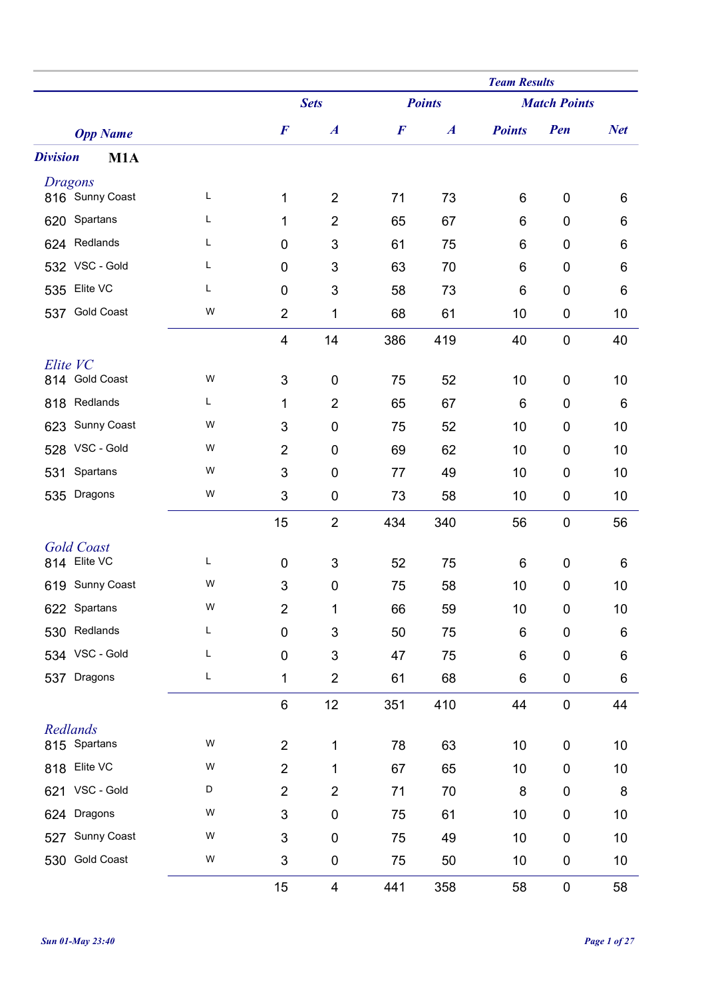|                                   |   |                           |                  |                  |                  | <b>Team Results</b> |                     |            |
|-----------------------------------|---|---------------------------|------------------|------------------|------------------|---------------------|---------------------|------------|
|                                   |   |                           | <b>Sets</b>      |                  | <b>Points</b>    |                     | <b>Match Points</b> |            |
| <b>Opp Name</b>                   |   | $\boldsymbol{F}$          | $\boldsymbol{A}$ | $\boldsymbol{F}$ | $\boldsymbol{A}$ | <b>Points</b>       | Pen                 | <b>Net</b> |
| <b>Division</b><br>M1A            |   |                           |                  |                  |                  |                     |                     |            |
| <b>Dragons</b>                    |   |                           |                  |                  |                  |                     |                     |            |
| 816 Sunny Coast                   | Г | 1                         | $\overline{2}$   | 71               | 73               | 6                   | $\boldsymbol{0}$    | 6          |
| 620 Spartans                      | Г | 1                         | $\overline{2}$   | 65               | 67               | 6                   | $\mathbf 0$         | 6          |
| 624 Redlands                      | L | $\mathbf 0$               | 3                | 61               | 75               | 6                   | 0                   | 6          |
| 532 VSC - Gold                    | Г | $\mathbf 0$               | $\mathbf{3}$     | 63               | 70               | 6                   | $\boldsymbol{0}$    | 6          |
| Elite VC<br>535                   | Г | $\mathbf 0$               | 3                | 58               | 73               | 6                   | 0                   | 6          |
| <b>Gold Coast</b><br>537          | W | $\overline{2}$            | 1                | 68               | 61               | 10                  | $\boldsymbol{0}$    | 10         |
|                                   |   | $\overline{4}$            | 14               | 386              | 419              | 40                  | $\mathbf 0$         | 40         |
| Elite VC<br>814 Gold Coast        | W | $\sqrt{3}$                | $\boldsymbol{0}$ | 75               | 52               | 10                  | $\boldsymbol{0}$    | 10         |
| Redlands<br>818                   | L | 1                         | $\overline{2}$   | 65               | 67               | 6                   | 0                   | 6          |
| Sunny Coast<br>623                | W | 3                         | $\mathbf 0$      | 75               | 52               | 10                  | $\mathbf 0$         | 10         |
| VSC - Gold<br>528                 | W | $\overline{2}$            | $\mathbf 0$      | 69               | 62               | 10                  | 0                   | 10         |
| Spartans<br>531                   | W | $\mathbf{3}$              | $\boldsymbol{0}$ | 77               | 49               | 10                  | $\mathbf 0$         | 10         |
| Dragons<br>535                    | W | 3                         | 0                | 73               | 58               | 10                  | 0                   | 10         |
|                                   |   |                           | $\overline{2}$   |                  |                  | 56                  | $\boldsymbol{0}$    |            |
|                                   |   | 15                        |                  | 434              | 340              |                     |                     | 56         |
| <b>Gold Coast</b><br>814 Elite VC | L | $\mathbf 0$               | 3                | 52               | 75               | 6                   | 0                   | 6          |
| 619 Sunny Coast                   | W | 3                         | $\mathbf 0$      | 75               | 58               | 10                  | $\mathbf 0$         | 10         |
| 622 Spartans                      | W | $\overline{2}$            | 1                | 66               | 59               | 10                  | 0                   | 10         |
| Redlands<br>530                   | L | $\mathbf 0$               | 3                | 50               | 75               | $\,6$               | $\boldsymbol{0}$    | 6          |
| 534 VSC - Gold                    | L | $\mathbf 0$               | 3                | 47               | 75               | 6                   | $\pmb{0}$           | 6          |
| Dragons<br>537                    | L | 1                         | $\overline{2}$   | 61               | 68               | 6                   | $\pmb{0}$           | 6          |
|                                   |   | $\,6$                     | 12               | 351              | 410              | 44                  | $\pmb{0}$           | 44         |
| Redlands                          |   |                           |                  |                  |                  |                     |                     |            |
| 815 Spartans                      | W | $\overline{2}$            | 1                | 78               | 63               | 10                  | $\pmb{0}$           | 10         |
| Elite VC<br>818                   | W | $\overline{2}$            | 1                | 67               | 65               | 10                  | $\pmb{0}$           | 10         |
| 621 VSC - Gold                    | D | $\overline{2}$            | $\overline{2}$   | 71               | 70               | 8                   | $\pmb{0}$           | 8          |
| Dragons<br>624                    | W | $\mathsf 3$               | $\pmb{0}$        | 75               | 61               | 10                  | $\pmb{0}$           | 10         |
| Sunny Coast<br>527                | W | 3                         | $\boldsymbol{0}$ | 75               | 49               | 10                  | $\pmb{0}$           | 10         |
| <b>Gold Coast</b><br>530          | W | $\ensuremath{\mathsf{3}}$ | $\pmb{0}$        | 75               | 50               | 10                  | $\pmb{0}$           | 10         |
|                                   |   | 15                        | 4                | 441              | 358              | 58                  | $\pmb{0}$           | 58         |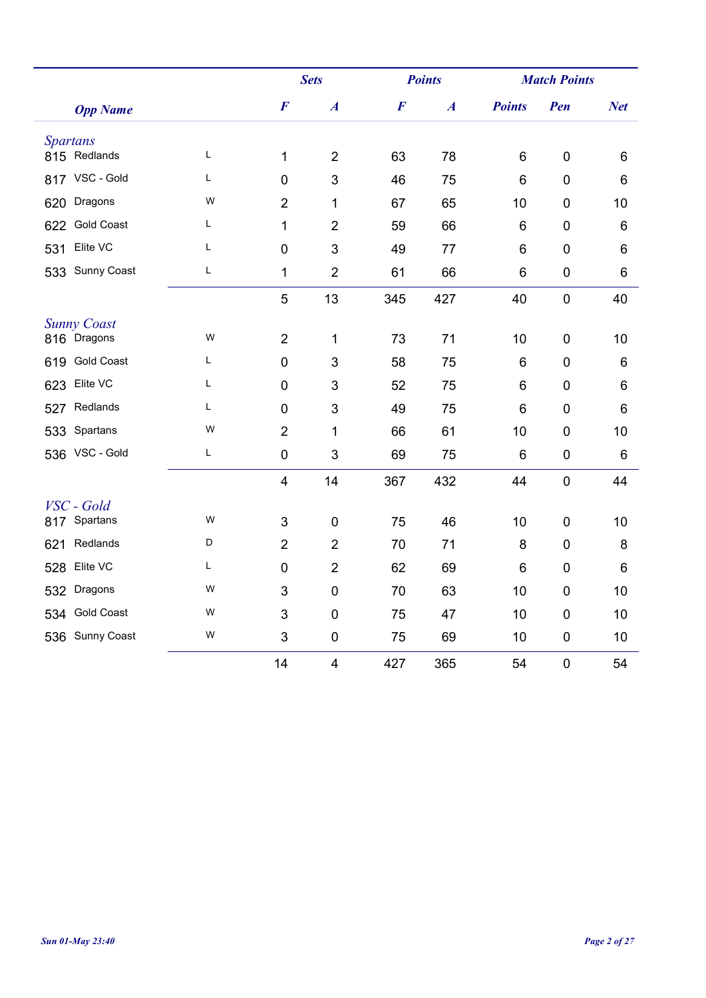|                           |   |                         | <b>Sets</b>      |                  | <b>Points</b>    | <b>Match Points</b> |                  |                 |
|---------------------------|---|-------------------------|------------------|------------------|------------------|---------------------|------------------|-----------------|
| <b>Opp Name</b>           |   | $\boldsymbol{F}$        | $\boldsymbol{A}$ | $\boldsymbol{F}$ | $\boldsymbol{A}$ | <b>Points</b>       | Pen              | <b>Net</b>      |
| <b>Spartans</b>           |   |                         |                  |                  |                  |                     |                  |                 |
| 815 Redlands              | L | 1                       | $\overline{2}$   | 63               | 78               | 6                   | $\mathbf 0$      | 6               |
| 817 VSC - Gold            | Г | $\mathbf 0$             | 3                | 46               | 75               | 6                   | $\mathbf 0$      | 6               |
| Dragons<br>620            | W | $\overline{2}$          | 1                | 67               | 65               | 10                  | $\mathbf 0$      | 10              |
| <b>Gold Coast</b><br>622  | Г | $\mathbf{1}$            | $\overline{2}$   | 59               | 66               | 6                   | $\mathbf 0$      | $6\phantom{1}6$ |
| Elite VC<br>531           | Г | $\mathbf 0$             | 3                | 49               | 77               | 6                   | $\mathbf 0$      | 6               |
| <b>Sunny Coast</b><br>533 | L | $\mathbf{1}$            | $\overline{2}$   | 61               | 66               | 6                   | $\mathbf 0$      | 6               |
|                           |   | 5                       | 13               | 345              | 427              | 40                  | $\mathbf 0$      | 40              |
| <b>Sunny Coast</b>        |   |                         |                  |                  |                  |                     |                  |                 |
| 816 Dragons               | W | $\overline{2}$          | 1                | 73               | 71               | 10                  | $\mathbf 0$      | 10              |
| <b>Gold Coast</b><br>619  | Г | $\pmb{0}$               | 3                | 58               | 75               | 6                   | $\mathbf 0$      | 6               |
| Elite VC<br>623           | L | $\mathbf 0$             | 3                | 52               | 75               | 6                   | $\overline{0}$   | 6               |
| Redlands<br>527           | Г | $\mathbf 0$             | 3                | 49               | 75               | 6                   | $\mathbf 0$      | 6               |
| Spartans<br>533           | W | $\overline{2}$          | 1                | 66               | 61               | 10                  | $\mathbf 0$      | 10              |
| 536 VSC - Gold            | L | $\pmb{0}$               | 3                | 69               | 75               | 6                   | $\mathbf 0$      | 6               |
|                           |   | $\overline{\mathbf{4}}$ | 14               | 367              | 432              | 44                  | $\boldsymbol{0}$ | 44              |
| VSC - Gold                |   |                         |                  |                  |                  |                     |                  |                 |
| 817 Spartans              | W | 3                       | $\mathbf 0$      | 75               | 46               | 10                  | $\mathbf 0$      | 10              |
| Redlands<br>621           | D | $\overline{2}$          | $\overline{2}$   | 70               | 71               | 8                   | $\mathbf 0$      | 8               |
| Elite VC<br>528           | L | $\pmb{0}$               | $\overline{2}$   | 62               | 69               | 6                   | $\mathbf 0$      | 6               |
| Dragons<br>532            | W | 3                       | 0                | 70               | 63               | 10                  | $\mathbf 0$      | 10              |
| <b>Gold Coast</b><br>534  | W | 3                       | $\overline{0}$   | 75               | 47               | 10                  | $\overline{0}$   | 10              |
| 536 Sunny Coast           | W | 3                       | $\mathbf 0$      | 75               | 69               | 10                  | $\mathbf 0$      | 10              |
|                           |   | 14                      | 4                | 427              | 365              | 54                  | $\mathbf 0$      | 54              |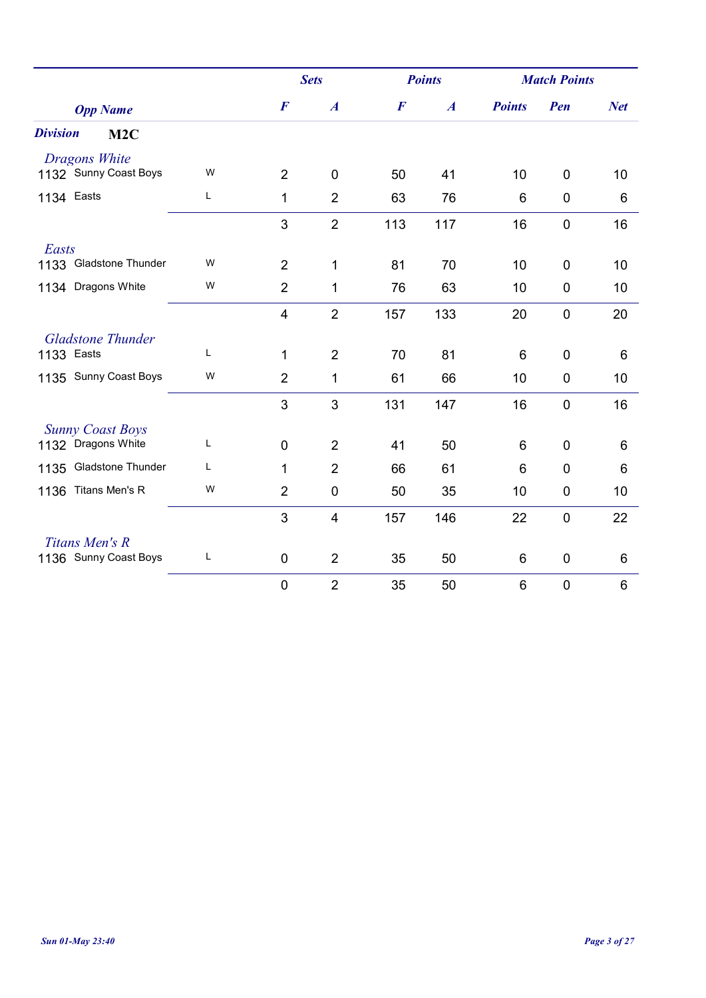|                          |   |                  | <b>Sets</b>             |                  | <b>Points</b>    |               | <b>Match Points</b> |            |
|--------------------------|---|------------------|-------------------------|------------------|------------------|---------------|---------------------|------------|
| <b>Opp Name</b>          |   | $\boldsymbol{F}$ | $\boldsymbol{A}$        | $\boldsymbol{F}$ | $\boldsymbol{A}$ | <b>Points</b> | Pen                 | <b>Net</b> |
| <b>Division</b><br>M2C   |   |                  |                         |                  |                  |               |                     |            |
| Dragons White            |   |                  |                         |                  |                  |               |                     |            |
| 1132 Sunny Coast Boys    | W | $\overline{2}$   | $\mathbf 0$             | 50               | 41               | 10            | $\mathbf 0$         | 10         |
| 1134 Easts               | Г | 1                | $\overline{2}$          | 63               | 76               | 6             | $\mathbf 0$         | 6          |
|                          |   | 3                | $\overline{2}$          | 113              | 117              | 16            | $\mathbf 0$         | 16         |
| Easts                    |   |                  |                         |                  |                  |               |                     |            |
| 1133 Gladstone Thunder   | W | $\overline{2}$   | 1                       | 81               | 70               | 10            | $\mathbf 0$         | 10         |
| 1134 Dragons White       | W | $\overline{2}$   | 1                       | 76               | 63               | 10            | $\mathbf 0$         | 10         |
|                          |   | $\overline{4}$   | $\overline{2}$          | 157              | 133              | 20            | $\mathbf 0$         | 20         |
| <b>Gladstone Thunder</b> |   |                  |                         |                  |                  |               |                     |            |
| 1133 Easts               | L | 1                | $\overline{2}$          | 70               | 81               | 6             | $\mathbf 0$         | 6          |
| 1135 Sunny Coast Boys    | W | $\overline{2}$   | 1                       | 61               | 66               | 10            | $\mathbf 0$         | 10         |
|                          |   | 3                | 3                       | 131              | 147              | 16            | $\mathbf 0$         | 16         |
| <b>Sunny Coast Boys</b>  |   |                  |                         |                  |                  |               |                     |            |
| 1132 Dragons White       | L | $\pmb{0}$        | $\overline{2}$          | 41               | 50               | 6             | $\mathbf 0$         | 6          |
| 1135 Gladstone Thunder   | L | 1                | $\overline{2}$          | 66               | 61               | 6             | $\mathbf 0$         | 6          |
| Titans Men's R<br>1136   | W | $\overline{2}$   | $\mathbf 0$             | 50               | 35               | 10            | $\mathbf 0$         | 10         |
|                          |   | 3                | $\overline{\mathbf{4}}$ | 157              | 146              | 22            | $\overline{0}$      | 22         |
| Titans Men's R           |   |                  |                         |                  |                  |               |                     |            |
| 1136 Sunny Coast Boys    | L | $\mathbf 0$      | $\overline{2}$          | 35               | 50               | 6             | $\mathbf 0$         | 6          |
|                          |   | $\pmb{0}$        | $\overline{2}$          | 35               | 50               | 6             | $\boldsymbol{0}$    | 6          |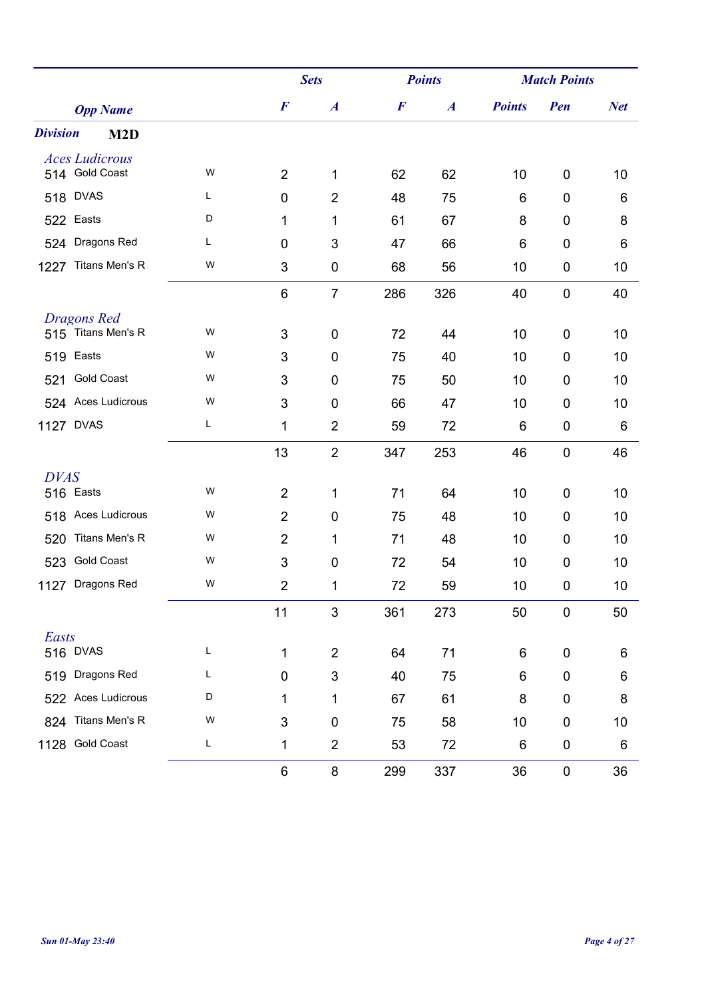|                                     |   |                | <b>Sets</b>      |                  | <b>Points</b>    |               | <b>Match Points</b> |            |  |
|-------------------------------------|---|----------------|------------------|------------------|------------------|---------------|---------------------|------------|--|
| <b>Opp Name</b>                     |   | $\bm{F}$       | $\boldsymbol{A}$ | $\boldsymbol{F}$ | $\boldsymbol{A}$ | <b>Points</b> | Pen                 | <b>Net</b> |  |
| <b>Division</b><br>M <sub>2</sub> D |   |                |                  |                  |                  |               |                     |            |  |
| <b>Aces Ludicrous</b>               |   |                |                  |                  |                  |               |                     |            |  |
| 514 Gold Coast                      | W | $\overline{2}$ | 1                | 62               | 62               | 10            | $\mathbf 0$         | 10         |  |
| <b>DVAS</b><br>518                  | L | $\mathbf 0$    | $\overline{2}$   | 48               | 75               | 6             | $\mathbf 0$         | 6          |  |
| 522 Easts                           | D | 1              | 1                | 61               | 67               | 8             | $\mathbf 0$         | 8          |  |
| Dragons Red<br>524                  | Г | $\pmb{0}$      | 3                | 47               | 66               | 6             | $\mathbf 0$         | 6          |  |
| Titans Men's R<br>1227              | W | 3              | $\pmb{0}$        | 68               | 56               | 10            | $\boldsymbol{0}$    | 10         |  |
|                                     |   | 6              | $\overline{7}$   | 286              | 326              | 40            | $\boldsymbol{0}$    | 40         |  |
| Dragons Red                         |   |                |                  |                  |                  |               |                     |            |  |
| 515 Titans Men's R                  | W | 3              | $\mathbf 0$      | 72               | 44               | 10            | $\mathbf 0$         | 10         |  |
| Easts<br>519                        | W | 3              | 0                | 75               | 40               | 10            | $\mathbf 0$         | 10         |  |
| <b>Gold Coast</b><br>521            | W | 3              | $\pmb{0}$        | 75               | 50               | 10            | $\mathbf 0$         | 10         |  |
| 524 Aces Ludicrous                  | W | 3              | $\mathbf 0$      | 66               | 47               | 10            | $\mathbf 0$         | 10         |  |
| 1127 DVAS                           | Г | 1              | $\overline{2}$   | 59               | 72               | 6             | $\boldsymbol{0}$    | 6          |  |
|                                     |   | 13             | $\overline{2}$   | 347              | 253              | 46            | $\mathbf 0$         | 46         |  |
| <b>DVAS</b>                         |   |                |                  |                  |                  |               |                     |            |  |
| 516 Easts                           | W | $\overline{2}$ | 1                | 71               | 64               | 10            | $\mathbf 0$         | 10         |  |
| Aces Ludicrous<br>518               | W | $\overline{2}$ | $\mathbf 0$      | 75               | 48               | 10            | $\mathbf 0$         | 10         |  |
| Titans Men's R<br>520               | W | $\overline{2}$ | 1                | 71               | 48               | 10            | $\mathbf 0$         | 10         |  |
| <b>Gold Coast</b><br>523            | W | 3              | $\pmb{0}$        | 72               | 54               | 10            | $\mathbf 0$         | 10         |  |
| Dragons Red<br>1127                 | W | $\overline{2}$ | 1                | 72               | 59               | 10            | $\mathbf 0$         | 10         |  |
|                                     |   | 11             | 3                | 361              | 273              | 50            | $\pmb{0}$           | 50         |  |
| Easts                               |   |                |                  |                  |                  |               |                     |            |  |
| 516 DVAS                            | L | 1              | $\overline{2}$   | 64               | 71               | 6             | $\pmb{0}$           | 6          |  |
| Dragons Red<br>519                  | L | $\pmb{0}$      | 3                | 40               | 75               | 6             | $\pmb{0}$           | 6          |  |
| 522 Aces Ludicrous                  | D | 1              | 1                | 67               | 61               | 8             | $\pmb{0}$           | 8          |  |
| 824 Titans Men's R                  | W | 3              | $\pmb{0}$        | 75               | 58               | 10            | $\mathbf 0$         | 10         |  |
| 1128 Gold Coast                     | L | 1              | $\overline{2}$   | 53               | 72               | 6             | $\pmb{0}$           | 6          |  |
|                                     |   | 6              | $\bf 8$          | 299              | 337              | 36            | $\pmb{0}$           | 36         |  |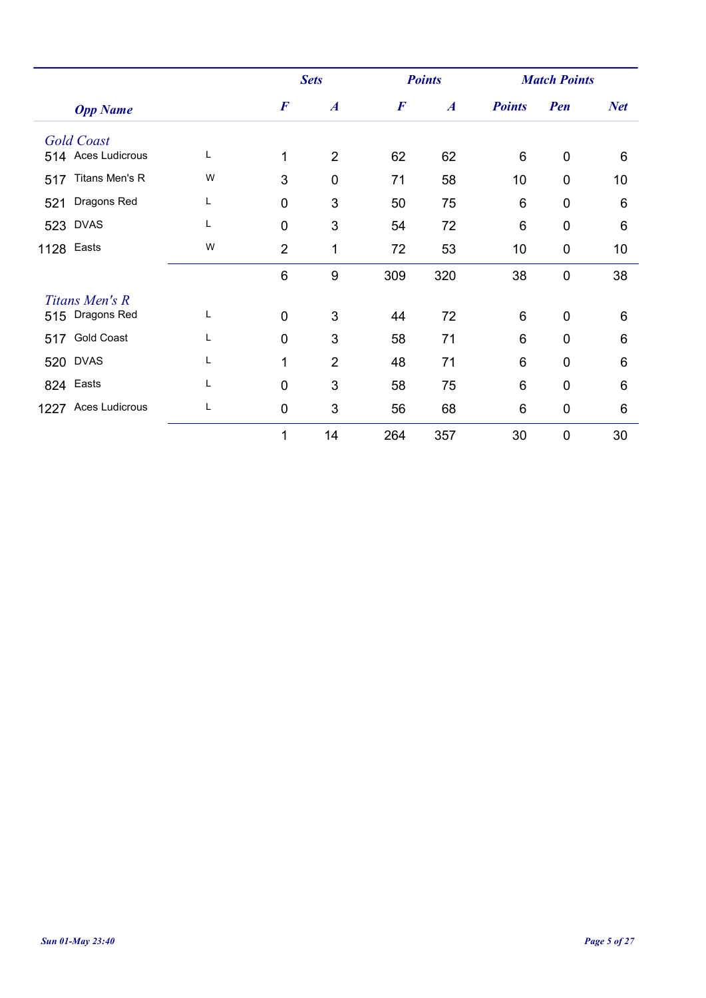| <b>Opp Name</b>          |   |                  | <b>Sets</b>      |                  | <b>Points</b>    | <b>Match Points</b> |                |                 |
|--------------------------|---|------------------|------------------|------------------|------------------|---------------------|----------------|-----------------|
|                          |   | $\boldsymbol{F}$ | $\boldsymbol{A}$ | $\boldsymbol{F}$ | $\boldsymbol{A}$ | <b>Points</b>       | Pen            | <b>Net</b>      |
| <b>Gold Coast</b>        |   |                  |                  |                  |                  |                     |                |                 |
| 514 Aces Ludicrous       | L | 1                | $\overline{2}$   | 62               | 62               | 6                   | $\mathbf 0$    | $6\phantom{1}6$ |
| Titans Men's R<br>517    | W | 3                | $\mathbf 0$      | 71               | 58               | 10                  | $\mathbf 0$    | 10              |
| Dragons Red<br>521       | L | $\mathbf 0$      | 3                | 50               | 75               | 6                   | $\overline{0}$ | 6               |
| 523 DVAS                 | L | $\mathbf 0$      | 3                | 54               | 72               | $6\phantom{1}6$     | $\mathbf 0$    | 6               |
| 1128 Easts               | W | $\overline{2}$   | 1                | 72               | 53               | 10                  | $\mathbf 0$    | 10              |
|                          |   | 6                | 9                | 309              | 320              | 38                  | $\mathbf 0$    | 38              |
| Titans Men's R           |   |                  |                  |                  |                  |                     |                |                 |
| 515 Dragons Red          | L | $\mathbf 0$      | 3                | 44               | 72               | $6\,$               | $\mathbf 0$    | 6               |
| <b>Gold Coast</b><br>517 | L | $\overline{0}$   | 3                | 58               | 71               | $6\phantom{1}6$     | $\overline{0}$ | 6               |
| 520 DVAS                 | L | 1                | $\overline{2}$   | 48               | 71               | 6                   | $\overline{0}$ | 6               |
| 824 Easts                | L | $\overline{0}$   | 3                | 58               | 75               | 6                   | $\overline{0}$ | 6               |
| 1227 Aces Ludicrous      | L | $\mathbf 0$      | 3                | 56               | 68               | 6                   | $\mathbf 0$    | 6               |
|                          |   | 1                | 14               | 264              | 357              | 30                  | $\mathbf 0$    | 30              |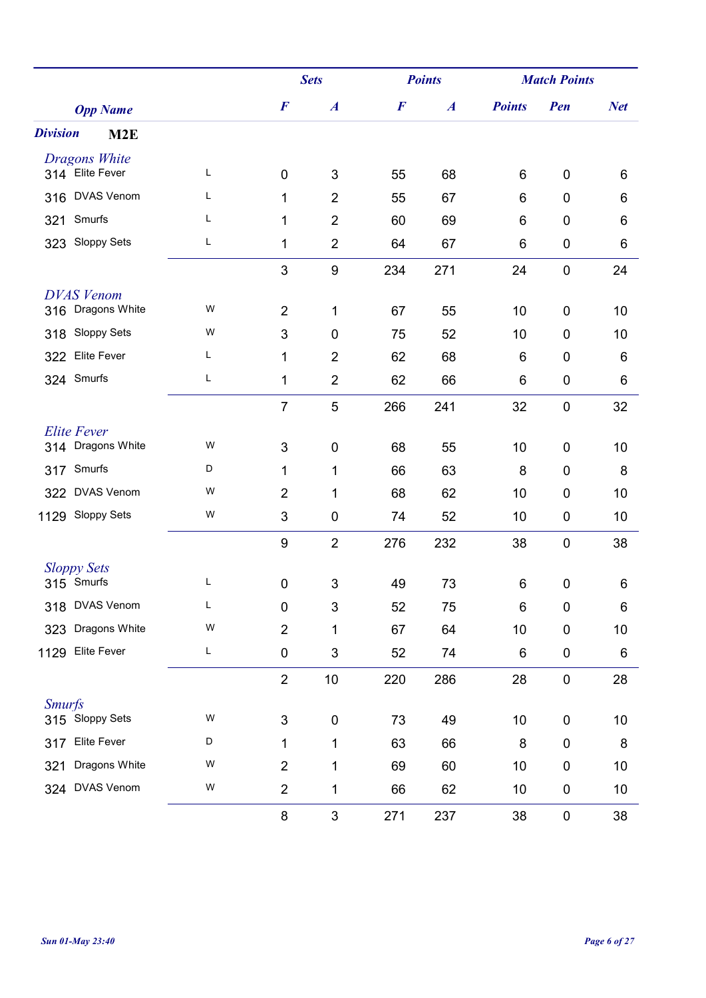|                                         |   |                  | <b>Sets</b>      |                  | <b>Points</b>    |               | <b>Match Points</b> |            |  |
|-----------------------------------------|---|------------------|------------------|------------------|------------------|---------------|---------------------|------------|--|
| <b>Opp Name</b>                         |   | $\boldsymbol{F}$ | $\boldsymbol{A}$ | $\boldsymbol{F}$ | $\boldsymbol{A}$ | <b>Points</b> | Pen                 | <b>Net</b> |  |
| <b>Division</b><br>M2E                  |   |                  |                  |                  |                  |               |                     |            |  |
| <b>Dragons White</b><br>314 Elite Fever | L |                  |                  |                  |                  |               |                     |            |  |
|                                         |   | $\mathbf 0$      | $\mathfrak{S}$   | 55               | 68               | 6             | $\mathbf 0$         | 6          |  |
| <b>DVAS Venom</b><br>316                | L | 1                | $\overline{2}$   | 55               | 67               | 6             | $\mathbf 0$         | 6          |  |
| Smurfs<br>321                           | L | 1                | $\overline{2}$   | 60               | 69               | 6             | $\boldsymbol{0}$    | 6          |  |
| <b>Sloppy Sets</b><br>323               | L | 1                | $\overline{2}$   | 64               | 67               | 6             | $\pmb{0}$           | 6          |  |
|                                         |   | 3                | $\boldsymbol{9}$ | 234              | 271              | 24            | $\mathbf 0$         | 24         |  |
| <b>DVAS Venom</b>                       |   |                  |                  |                  |                  |               |                     |            |  |
| 316 Dragons White                       | W | $\overline{2}$   | 1                | 67               | 55               | 10            | $\mathbf 0$         | 10         |  |
| 318 Sloppy Sets                         | W | 3                | 0                | 75               | 52               | 10            | $\mathbf 0$         | 10         |  |
| 322 Elite Fever                         | L | 1                | $\overline{2}$   | 62               | 68               | 6             | $\mathbf 0$         | 6          |  |
| 324 Smurfs                              | L | 1                | $\overline{2}$   | 62               | 66               | 6             | $\pmb{0}$           | 6          |  |
|                                         |   | $\overline{7}$   | 5                | 266              | 241              | 32            | $\boldsymbol{0}$    | 32         |  |
| <b>Elite Fever</b>                      |   |                  |                  |                  |                  |               |                     |            |  |
| 314 Dragons White                       | W | 3                | 0                | 68               | 55               | 10            | $\mathbf 0$         | 10         |  |
| 317 Smurfs                              | D | 1                | 1                | 66               | 63               | 8             | $\mathbf 0$         | 8          |  |
| 322 DVAS Venom                          | W | $\overline{2}$   | 1                | 68               | 62               | 10            | $\mathbf 0$         | 10         |  |
| 1129 Sloppy Sets                        | W | 3                | 0                | 74               | 52               | 10            | $\boldsymbol{0}$    | 10         |  |
|                                         |   | 9                | $\overline{2}$   | 276              | 232              | 38            | $\mathbf 0$         | 38         |  |
| <b>Sloppy Sets</b>                      |   |                  |                  |                  |                  |               |                     |            |  |
| 315 Smurfs                              | L | $\pmb{0}$        | 3                | 49               | 73               | 6             | $\mathbf 0$         | 6          |  |
| 318 DVAS Venom                          | L | 0                | 3                | 52               | 75               | 6             | 0                   | 6          |  |
| 323 Dragons White                       | W | $\overline{c}$   | 1                | 67               | 64               | 10            | $\boldsymbol{0}$    | 10         |  |
| Elite Fever<br>1129                     | L | $\pmb{0}$        | 3                | 52               | 74               | 6             | $\pmb{0}$           | 6          |  |
|                                         |   | $\overline{2}$   | $10$             | 220              | 286              | 28            | $\pmb{0}$           | 28         |  |
| <b>Smurfs</b>                           |   |                  |                  |                  |                  |               |                     |            |  |
| 315 Sloppy Sets                         | W | 3                | $\pmb{0}$        | 73               | 49               | 10            | $\pmb{0}$           | 10         |  |
| <b>Elite Fever</b><br>317               | D | 1                | 1                | 63               | 66               | 8             | $\pmb{0}$           | 8          |  |
| Dragons White<br>321                    | W | $\overline{2}$   | 1                | 69               | 60               | 10            | $\boldsymbol{0}$    | 10         |  |
| 324 DVAS Venom                          | W | $\overline{2}$   | 1                | 66               | 62               | 10            | $\pmb{0}$           | 10         |  |
|                                         |   | 8                | 3                | 271              | 237              | 38            | $\pmb{0}$           | 38         |  |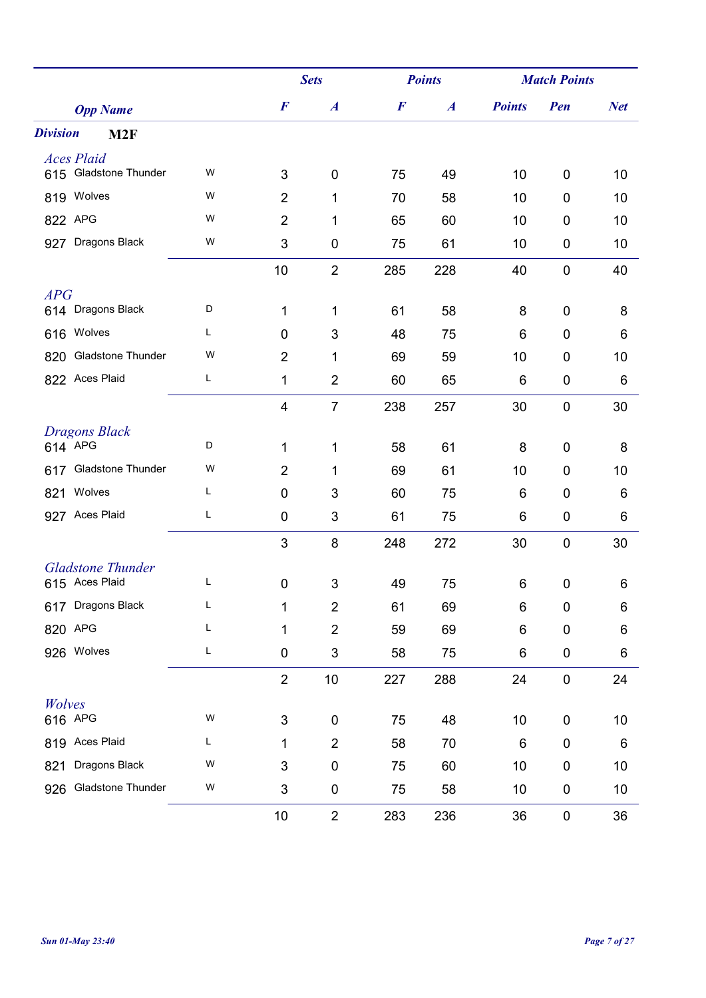|                                 |   |                  | <b>Sets</b>      |                  | <b>Points</b>    |                 | <b>Match Points</b> |            |  |
|---------------------------------|---|------------------|------------------|------------------|------------------|-----------------|---------------------|------------|--|
| <b>Opp Name</b>                 |   | $\boldsymbol{F}$ | $\boldsymbol{A}$ | $\boldsymbol{F}$ | $\boldsymbol{A}$ | <b>Points</b>   | Pen                 | <b>Net</b> |  |
| <b>Division</b><br>M2F          |   |                  |                  |                  |                  |                 |                     |            |  |
| <b>Aces Plaid</b>               |   |                  |                  |                  |                  |                 |                     |            |  |
| 615 Gladstone Thunder           | W | 3                | $\mathbf 0$      | 75               | 49               | 10              | 0                   | 10         |  |
| 819 Wolves                      | W | $\overline{2}$   | 1                | 70               | 58               | 10              | $\mathbf 0$         | 10         |  |
| 822 APG                         | W | $\overline{2}$   | 1                | 65               | 60               | 10              | 0                   | 10         |  |
| Dragons Black<br>927            | W | 3                | $\mathbf 0$      | 75               | 61               | 10              | 0                   | 10         |  |
|                                 |   | 10               | $\overline{2}$   | 285              | 228              | 40              | $\mathbf 0$         | 40         |  |
| APG                             |   |                  |                  |                  |                  |                 |                     |            |  |
| 614 Dragons Black               | D | 1                | 1                | 61               | 58               | 8               | 0                   | 8          |  |
| 616 Wolves                      | L | $\mathbf 0$      | 3                | 48               | 75               | 6               | $\mathbf 0$         | 6          |  |
| <b>Gladstone Thunder</b><br>820 | W | $\overline{2}$   | 1                | 69               | 59               | 10              | 0                   | 10         |  |
| 822 Aces Plaid                  | L | 1                | $\overline{2}$   | 60               | 65               | 6               | $\boldsymbol{0}$    | 6          |  |
|                                 |   | $\overline{4}$   | $\overline{7}$   | 238              | 257              | 30              | $\boldsymbol{0}$    | 30         |  |
| <b>Dragons Black</b>            |   |                  |                  |                  |                  |                 |                     |            |  |
| 614 APG                         | D | 1                | 1                | 58               | 61               | 8               | 0                   | 8          |  |
| 617 Gladstone Thunder           | W | $\overline{2}$   | 1                | 69               | 61               | 10              | 0                   | 10         |  |
| Wolves<br>821                   | L | 0                | $\mathfrak{S}$   | 60               | 75               | 6               | 0                   | 6          |  |
| 927 Aces Plaid                  | L | 0                | 3                | 61               | 75               | 6               | 0                   | 6          |  |
|                                 |   | 3                | 8                | 248              | 272              | 30              | $\mathbf 0$         | 30         |  |
| <b>Gladstone Thunder</b>        |   |                  |                  |                  |                  |                 |                     |            |  |
| 615 Aces Plaid                  | L | $\mathbf 0$      | 3                | 49               | 75               | 6               | 0                   | 6          |  |
| 617 Dragons Black               | L | 1                | $\overline{2}$   | 61               | 69               | 6               | $\mathbf 0$         | 6          |  |
| 820 APG                         | Г | 1                | $\overline{2}$   | 59               | 69               | 6               | $\mathbf 0$         | 6          |  |
| 926 Wolves                      | L | $\pmb{0}$        | 3                | 58               | 75               | 6               | $\pmb{0}$           | $\,6$      |  |
|                                 |   | $\boldsymbol{2}$ | $10$             | 227              | 288              | 24              | $\pmb{0}$           | 24         |  |
| Wolves                          |   |                  |                  |                  |                  |                 |                     |            |  |
| 616 APG                         | W | $\sqrt{3}$       | $\pmb{0}$        | 75               | 48               | 10              | 0                   | 10         |  |
| 819 Aces Plaid                  | L | 1                | $\overline{2}$   | 58               | 70               | $6\phantom{1}6$ | $\pmb{0}$           | 6          |  |
| Dragons Black<br>821            | W | 3                | 0                | 75               | 60               | 10              | $\mathbf 0$         | 10         |  |
| Gladstone Thunder<br>926        | W | 3                | 0                | 75               | 58               | 10              | 0                   | 10         |  |
|                                 |   | 10               | $\overline{2}$   | 283              | 236              | 36              | $\pmb{0}$           | 36         |  |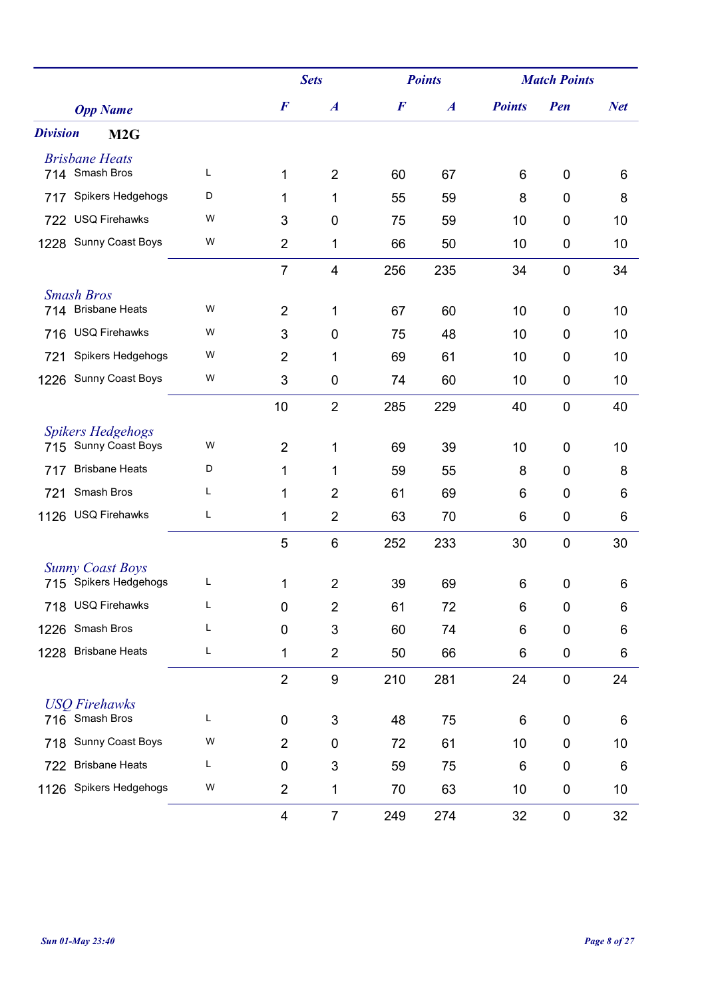|                                    |   |                | <b>Sets</b>      | <b>Points</b>    |                  | <b>Match Points</b> |                  |            |
|------------------------------------|---|----------------|------------------|------------------|------------------|---------------------|------------------|------------|
| <b>Opp Name</b>                    |   | $\bm{F}$       | $\boldsymbol{A}$ | $\boldsymbol{F}$ | $\boldsymbol{A}$ | <b>Points</b>       | Pen              | <b>Net</b> |
| <b>Division</b><br>M <sub>2G</sub> |   |                |                  |                  |                  |                     |                  |            |
| <b>Brisbane Heats</b>              |   |                |                  |                  |                  |                     |                  |            |
| 714 Smash Bros                     | L | 1              | $\overline{2}$   | 60               | 67               | 6                   | $\mathbf 0$      | 6          |
| Spikers Hedgehogs<br>717           | D | 1              | 1                | 55               | 59               | 8                   | $\mathbf 0$      | 8          |
| <b>USQ Firehawks</b><br>722        | W | 3              | 0                | 75               | 59               | 10                  | $\mathbf 0$      | 10         |
| Sunny Coast Boys<br>1228           | W | $\overline{2}$ | 1                | 66               | 50               | 10                  | $\mathbf 0$      | 10         |
|                                    |   | $\overline{7}$ | 4                | 256              | 235              | 34                  | $\mathbf 0$      | 34         |
| <b>Smash Bros</b>                  |   |                |                  |                  |                  |                     |                  |            |
| <b>Brisbane Heats</b><br>714       | W | $\overline{2}$ | 1                | 67               | 60               | 10                  | $\mathbf 0$      | 10         |
| <b>USQ Firehawks</b><br>716        | W | 3              | 0                | 75               | 48               | 10                  | $\mathbf 0$      | 10         |
| Spikers Hedgehogs<br>721           | W | $\overline{2}$ | 1                | 69               | 61               | 10                  | 0                | 10         |
| Sunny Coast Boys<br>1226           | W | 3              | $\pmb{0}$        | 74               | 60               | 10                  | $\mathbf 0$      | 10         |
|                                    |   | 10             | $\overline{2}$   | 285              | 229              | 40                  | $\mathbf 0$      | 40         |
| <b>Spikers Hedgehogs</b>           |   |                |                  |                  |                  |                     |                  |            |
| 715 Sunny Coast Boys               | W | $\overline{2}$ | 1                | 69               | 39               | 10                  | $\mathbf 0$      | 10         |
| <b>Brisbane Heats</b><br>717       | D | 1              | 1                | 59               | 55               | 8                   | $\mathbf 0$      | 8          |
| Smash Bros<br>721                  | Г | 1              | $\overline{2}$   | 61               | 69               | 6                   | $\mathbf 0$      | 6          |
| <b>USQ Firehawks</b><br>1126       | Г | 1              | $\overline{2}$   | 63               | 70               | 6                   | $\mathbf 0$      | 6          |
|                                    |   | 5              | 6                | 252              | 233              | 30                  | $\mathbf 0$      | 30         |
| <b>Sunny Coast Boys</b>            |   |                |                  |                  |                  |                     |                  |            |
| 715 Spikers Hedgehogs              | L | 1              | $\overline{2}$   | 39               | 69               | 6                   | $\mathbf 0$      | 6          |
| 718 USQ Firehawks                  | L | 0              | $\overline{2}$   | 61               | 72               | 6                   | 0                | 6          |
| 1226 Smash Bros                    | L | 0              | 3                | 60               | 74               | 6                   | $\mathbf 0$      | 6          |
| <b>Brisbane Heats</b><br>1228      | L | 1              | $\overline{2}$   | 50               | 66               | 6                   | $\pmb{0}$        | 6          |
|                                    |   | $\overline{2}$ | $\boldsymbol{9}$ | 210              | 281              | 24                  | $\boldsymbol{0}$ | 24         |
| <b>USO Firehawks</b>               |   |                |                  |                  |                  |                     |                  |            |
| 716 Smash Bros                     | L | $\pmb{0}$      | 3                | 48               | 75               | 6                   | $\pmb{0}$        | 6          |
| Sunny Coast Boys<br>718            | W | $\overline{2}$ | 0                | 72               | 61               | 10                  | $\mathbf 0$      | 10         |
| <b>Brisbane Heats</b><br>722       | L | 0              | 3                | 59               | 75               | 6                   | $\mathbf 0$      | 6          |
| Spikers Hedgehogs<br>1126          | W | $\overline{c}$ | 1                | 70               | 63               | 10                  | $\pmb{0}$        | 10         |
|                                    |   | 4              | $\overline{7}$   | 249              | 274              | 32                  | $\pmb{0}$        | 32         |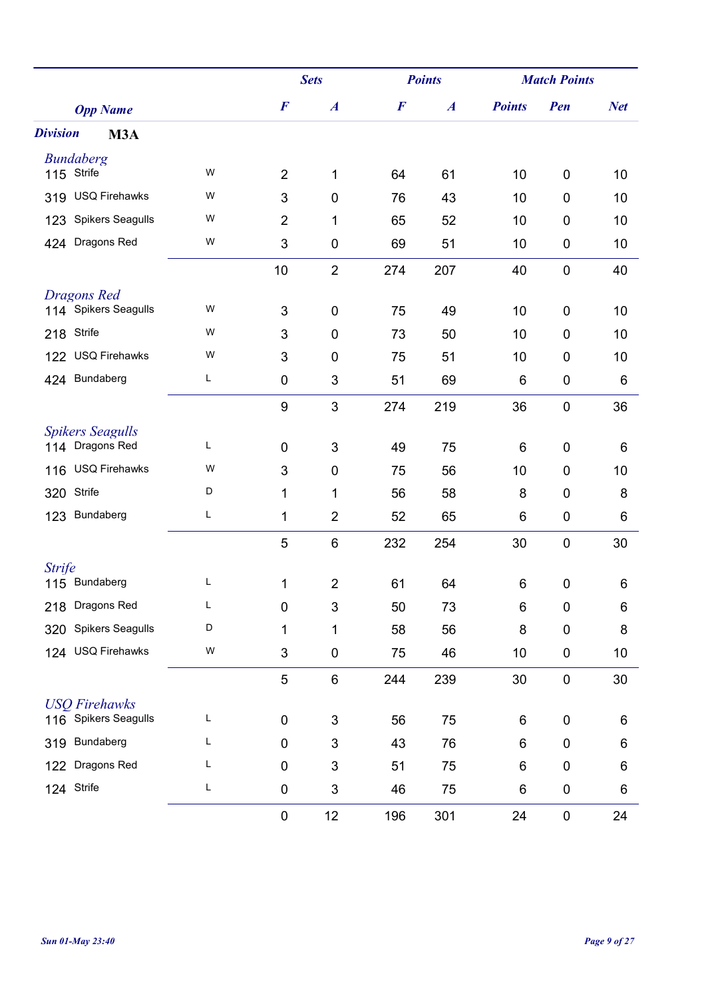|                                            |   |                  | <b>Sets</b>      |                  | <b>Points</b>    |               | <b>Match Points</b> |            |  |
|--------------------------------------------|---|------------------|------------------|------------------|------------------|---------------|---------------------|------------|--|
| <b>Opp Name</b>                            |   | $\boldsymbol{F}$ | $\boldsymbol{A}$ | $\boldsymbol{F}$ | $\boldsymbol{A}$ | <b>Points</b> | Pen                 | <b>Net</b> |  |
| <b>Division</b><br>M3A                     |   |                  |                  |                  |                  |               |                     |            |  |
| <b>Bundaberg</b>                           | W |                  |                  |                  |                  |               |                     |            |  |
| 115 Strife                                 |   | $\overline{2}$   | 1                | 64               | 61               | 10            | 0                   | 10         |  |
| <b>USQ Firehawks</b><br>319                | W | 3                | $\mathbf 0$      | 76               | 43               | 10            | 0                   | 10         |  |
| <b>Spikers Seagulls</b><br>123             | W | $\overline{2}$   | 1                | 65               | 52               | 10            | 0                   | 10         |  |
| Dragons Red<br>424                         | W | 3                | $\boldsymbol{0}$ | 69               | 51               | 10            | 0                   | 10         |  |
|                                            |   | 10               | $\overline{2}$   | 274              | 207              | 40            | $\mathbf 0$         | 40         |  |
| <b>Dragons Red</b><br>114 Spikers Seagulls | W | 3                | $\mathbf 0$      | 75               |                  | 10            | 0                   | 10         |  |
| Strife                                     | W |                  |                  |                  | 49               |               |                     |            |  |
| 218                                        | W | 3                | $\mathbf 0$      | 73               | 50               | 10            | 0                   | 10         |  |
| <b>USQ Firehawks</b><br>122                |   | 3                | 0                | 75               | 51               | 10            | $\mathbf 0$         | 10         |  |
| 424 Bundaberg                              | Г | 0                | 3                | 51               | 69               | 6             | 0                   | 6          |  |
|                                            |   | $\boldsymbol{9}$ | 3                | 274              | 219              | 36            | $\pmb{0}$           | 36         |  |
| <b>Spikers Seagulls</b><br>114 Dragons Red | L | $\mathbf 0$      | 3                | 49               | 75               | 6             | 0                   | 6          |  |
| <b>USQ Firehawks</b><br>116                | W | 3                | $\mathbf 0$      | 75               | 56               | 10            | 0                   | 10         |  |
| Strife<br>320                              | D | 1                | 1                | 56               | 58               | 8             | $\mathbf 0$         | 8          |  |
| Bundaberg<br>123                           | Г | 1                | $\overline{2}$   | 52               | 65               | 6             | $\mathbf 0$         | 6          |  |
|                                            |   | 5                | 6                | 232              | 254              | 30            | $\mathbf 0$         | 30         |  |
| <b>Strife</b>                              |   |                  |                  |                  |                  |               |                     |            |  |
| 115 Bundaberg                              | L | 1                | $\overline{2}$   | 61               | 64               | 6             | $\pmb{0}$           | 6          |  |
| Dragons Red<br>218                         | L | 0                | 3                | 50               | 73               | 6             | 0                   | 6          |  |
| <b>Spikers Seagulls</b><br>320             | D | 1                | 1                | 58               | 56               | 8             | $\mathbf 0$         | 8          |  |
| <b>USQ Firehawks</b><br>124                | W | 3                | $\boldsymbol{0}$ | 75               | 46               | 10            | $\pmb{0}$           | 10         |  |
|                                            |   | 5                | $6\phantom{1}$   | 244              | 239              | 30            | $\pmb{0}$           | 30         |  |
| <b>USO Firehawks</b>                       |   |                  |                  |                  |                  |               |                     |            |  |
| Spikers Seagulls<br>116                    | L | 0                | 3                | 56               | 75               | 6             | 0                   | 6          |  |
| Bundaberg<br>319                           | L | 0                | 3                | 43               | 76               | 6             | $\pmb{0}$           | 6          |  |
| Dragons Red<br>122                         | Г | $\mathbf 0$      | 3                | 51               | 75               | 6             | $\mathbf 0$         | 6          |  |
| Strife<br>124                              | L | 0                | 3                | 46               | 75               | 6             | $\pmb{0}$           | 6          |  |
|                                            |   | 0                | 12               | 196              | 301              | 24            | $\pmb{0}$           | 24         |  |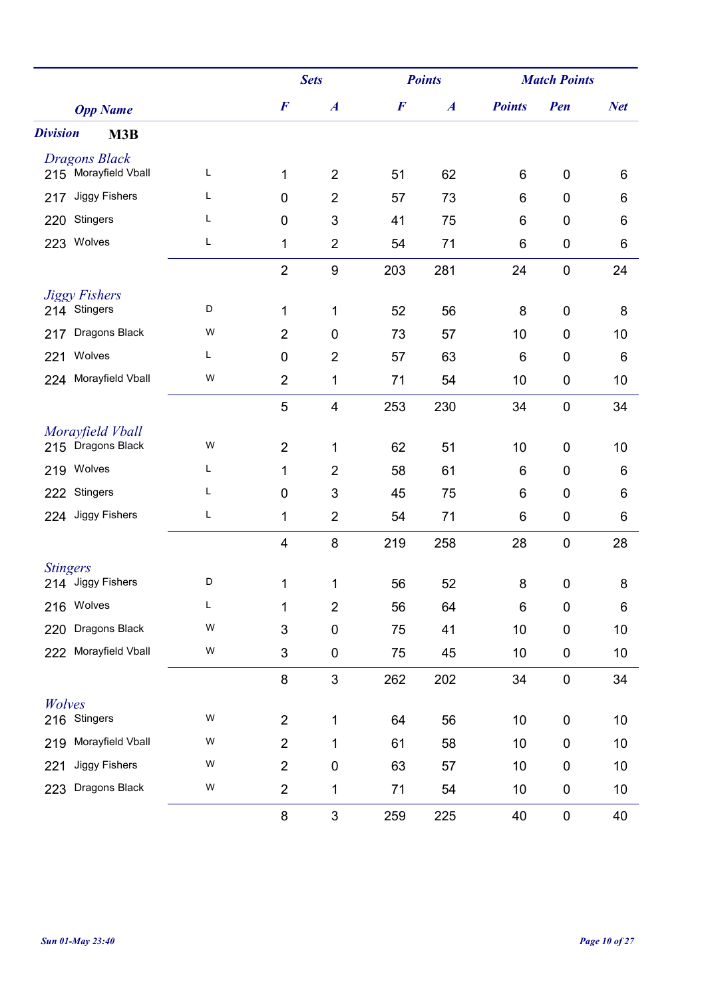|                             |   |                         | <b>Sets</b>             |                  | <b>Points</b>    |               | <b>Match Points</b> |            |  |
|-----------------------------|---|-------------------------|-------------------------|------------------|------------------|---------------|---------------------|------------|--|
| <b>Opp Name</b>             |   | $\boldsymbol{F}$        | $\boldsymbol{A}$        | $\boldsymbol{F}$ | $\boldsymbol{A}$ | <b>Points</b> | Pen                 | <b>Net</b> |  |
| <b>Division</b><br>M3B      |   |                         |                         |                  |                  |               |                     |            |  |
| <b>Dragons Black</b>        |   |                         |                         |                  |                  |               |                     |            |  |
| 215 Morayfield Vball        | L | 1                       | $\overline{2}$          | 51               | 62               | 6             | $\mathbf 0$         | 6          |  |
| <b>Jiggy Fishers</b><br>217 | L | 0                       | $\overline{2}$          | 57               | 73               | 6             | $\mathbf 0$         | 6          |  |
| 220 Stingers                | Г | 0                       | 3                       | 41               | 75               | 6             | $\boldsymbol{0}$    | 6          |  |
| Wolves<br>223               | Г | 1                       | $\overline{2}$          | 54               | 71               | 6             | $\pmb{0}$           | 6          |  |
|                             |   | $\overline{2}$          | $\boldsymbol{9}$        | 203              | 281              | 24            | $\mathbf 0$         | 24         |  |
| <b>Jiggy Fishers</b>        |   |                         |                         |                  |                  |               |                     |            |  |
| 214 Stingers                | D | 1                       | 1                       | 52               | 56               | 8             | $\mathbf 0$         | 8          |  |
| Dragons Black<br>217        | W | $\overline{2}$          | 0                       | 73               | 57               | 10            | $\mathbf 0$         | 10         |  |
| Wolves<br>221               | Г | 0                       | $\overline{2}$          | 57               | 63               | 6             | $\mathbf 0$         | 6          |  |
| Morayfield Vball<br>224     | W | $\overline{2}$          | 1                       | 71               | 54               | 10            | $\boldsymbol{0}$    | 10         |  |
|                             |   | 5                       | $\overline{\mathbf{4}}$ | 253              | 230              | 34            | $\boldsymbol{0}$    | 34         |  |
| Morayfield Vball            |   |                         |                         |                  |                  |               |                     |            |  |
| 215 Dragons Black           | W | $\overline{2}$          | 1                       | 62               | 51               | 10            | $\mathbf 0$         | 10         |  |
| 219 Wolves                  | L | 1                       | $\overline{2}$          | 58               | 61               | 6             | $\mathbf 0$         | 6          |  |
| Stingers<br>222             | L | $\pmb{0}$               | 3                       | 45               | 75               | 6             | $\mathbf 0$         | 6          |  |
| 224 Jiggy Fishers           | L | 1                       | $\overline{2}$          | 54               | 71               | 6             | $\mathbf 0$         | 6          |  |
|                             |   | $\overline{\mathbf{4}}$ | 8                       | 219              | 258              | 28            | $\mathbf 0$         | 28         |  |
| <b>Stingers</b>             |   |                         |                         |                  |                  |               |                     |            |  |
| 214 Jiggy Fishers           | D | 1                       | 1                       | 56               | 52               | 8             | $\boldsymbol{0}$    | 8          |  |
| 216 Wolves                  | L | 1                       | $\overline{2}$          | 56               | 64               | 6             | 0                   | 6          |  |
| 220 Dragons Black           | W | 3                       | 0                       | 75               | 41               | 10            | $\mathbf 0$         | 10         |  |
| Morayfield Vball<br>222     | W | 3                       | $\pmb{0}$               | 75               | 45               | 10            | $\pmb{0}$           | 10         |  |
|                             |   | $\bf 8$                 | 3                       | 262              | 202              | 34            | $\pmb{0}$           | 34         |  |
| Wolves                      |   |                         |                         |                  |                  |               |                     |            |  |
| 216 Stingers                | W | $\overline{2}$          | 1                       | 64               | 56               | 10            | $\pmb{0}$           | 10         |  |
| Morayfield Vball<br>219     | W | $\overline{2}$          | 1                       | 61               | 58               | 10            | $\boldsymbol{0}$    | 10         |  |
| <b>Jiggy Fishers</b><br>221 | W | $\overline{2}$          | 0                       | 63               | 57               | 10            | $\pmb{0}$           | 10         |  |
| Dragons Black<br>223        | W | $\overline{c}$          | 1                       | 71               | 54               | 10            | $\pmb{0}$           | 10         |  |
|                             |   | 8                       | 3                       | 259              | 225              | 40            | $\pmb{0}$           | 40         |  |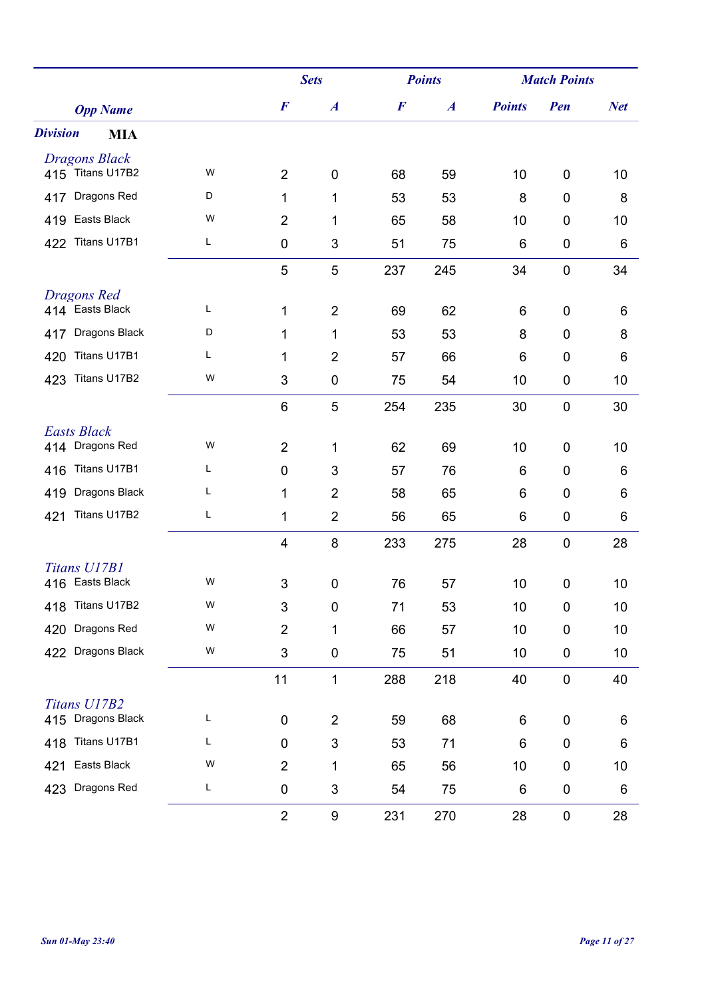|                                          |   |                         | <b>Sets</b>      |                  | <b>Points</b>    |               | <b>Match Points</b> |            |  |
|------------------------------------------|---|-------------------------|------------------|------------------|------------------|---------------|---------------------|------------|--|
| <b>Opp Name</b>                          |   | $\boldsymbol{F}$        | $\boldsymbol{A}$ | $\boldsymbol{F}$ | $\boldsymbol{A}$ | <b>Points</b> | Pen                 | <b>Net</b> |  |
| <b>Division</b><br><b>MIA</b>            |   |                         |                  |                  |                  |               |                     |            |  |
| <b>Dragons Black</b><br>415 Titans U17B2 | W |                         |                  |                  |                  |               |                     |            |  |
|                                          |   | $\overline{2}$          | $\pmb{0}$        | 68               | 59               | 10            | $\mathbf 0$         | 10         |  |
| Dragons Red<br>417                       | D | 1                       | 1                | 53               | 53               | 8             | $\mathbf 0$         | 8          |  |
| Easts Black<br>419                       | W | $\overline{2}$          | 1                | 65               | 58               | 10            | $\mathbf 0$         | 10         |  |
| Titans U17B1<br>422                      | L | 0                       | 3                | 51               | 75               | 6             | $\mathbf 0$         | 6          |  |
|                                          |   | 5                       | 5                | 237              | 245              | 34            | $\mathbf 0$         | 34         |  |
| <b>Dragons Red</b><br>414 Easts Black    | Г |                         | $\overline{2}$   |                  |                  |               | $\mathbf 0$         |            |  |
|                                          | D | 1                       |                  | 69               | 62               | 6             |                     | 6          |  |
| Dragons Black<br>417                     |   | 1                       | 1                | 53               | 53               | 8             | $\mathbf 0$         | 8          |  |
| Titans U17B1<br>420                      | Г | 1                       | $\overline{2}$   | 57               | 66               | 6             | $\mathbf 0$         | 6          |  |
| Titans U17B2<br>423                      | W | 3                       | $\pmb{0}$        | 75               | 54               | 10            | $\boldsymbol{0}$    | 10         |  |
|                                          |   | 6                       | 5                | 254              | 235              | 30            | $\boldsymbol{0}$    | 30         |  |
| <b>Easts Black</b><br>414 Dragons Red    | W | $\overline{2}$          | 1                | 62               | 69               | 10            | $\mathbf 0$         | 10         |  |
| Titans U17B1<br>416                      | L | 0                       | 3                | 57               | 76               | 6             | $\mathbf 0$         | 6          |  |
| Dragons Black<br>419                     | L | 1                       | $\overline{2}$   | 58               | 65               | 6             | $\mathbf 0$         | 6          |  |
| Titans U17B2<br>421                      | L | 1                       | $\overline{2}$   | 56               | 65               | 6             | $\mathbf 0$         | 6          |  |
|                                          |   | $\overline{\mathbf{4}}$ | 8                | 233              | 275              | 28            | $\mathbf 0$         | 28         |  |
| Titans U17B1                             |   |                         |                  |                  |                  |               |                     |            |  |
| 416 Easts Black                          | W | 3                       | 0                | 76               | 57               | 10            | $\mathbf 0$         | 10         |  |
| 418 Titans U17B2                         | W | 3                       | $\boldsymbol{0}$ | 71               | 53               | 10            | 0                   | 10         |  |
| 420 Dragons Red                          | W | $\overline{c}$          | 1                | 66               | 57               | 10            | $\mathbf 0$         | 10         |  |
| 422 Dragons Black                        | W | 3                       | 0                | 75               | 51               | 10            | $\pmb{0}$           | 10         |  |
|                                          |   | 11                      | 1                | 288              | 218              | 40            | $\boldsymbol{0}$    | 40         |  |
| Titans U17B2                             |   |                         |                  |                  |                  |               |                     |            |  |
| 415 Dragons Black                        | L | $\pmb{0}$               | $\overline{2}$   | 59               | 68               | 6             | $\pmb{0}$           | 6          |  |
| Titans U17B1<br>418                      | L | 0                       | 3                | 53               | 71               | 6             | $\boldsymbol{0}$    | 6          |  |
| Easts Black<br>421                       | W | $\overline{2}$          | 1                | 65               | 56               | 10            | $\boldsymbol{0}$    | 10         |  |
| Dragons Red<br>423                       | L | $\pmb{0}$               | 3                | 54               | 75               | 6             | $\pmb{0}$           | 6          |  |
|                                          |   | $\overline{2}$          | 9                | 231              | 270              | 28            | $\pmb{0}$           | 28         |  |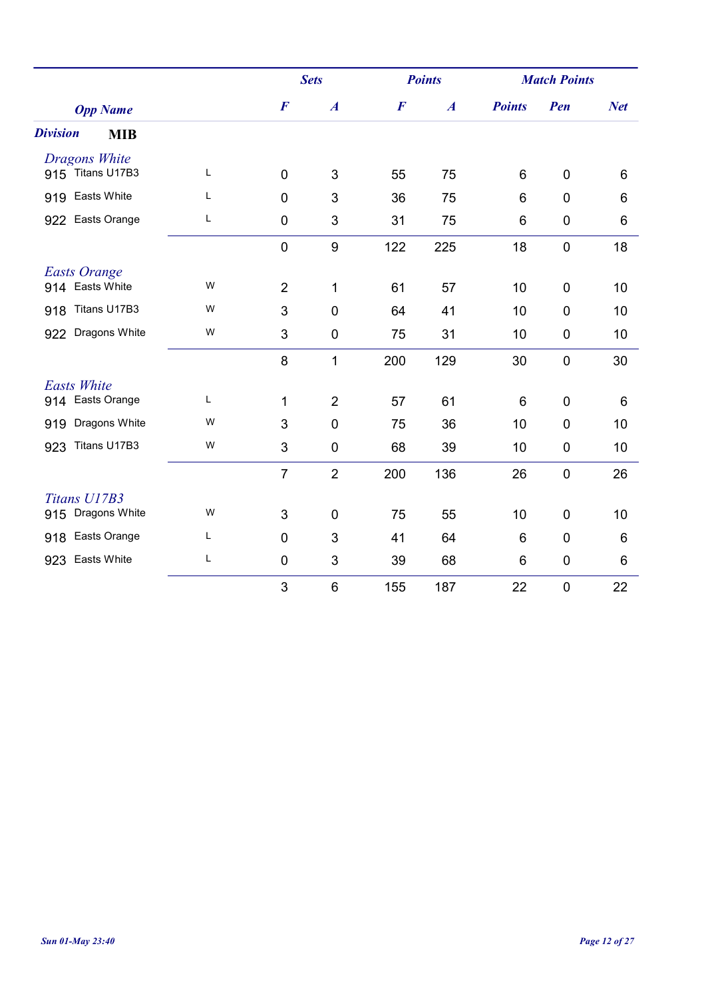|                               |             |                  | <b>Sets</b>      |                  | <b>Points</b>    | <b>Match Points</b> |                  |            |
|-------------------------------|-------------|------------------|------------------|------------------|------------------|---------------------|------------------|------------|
| <b>Opp Name</b>               |             | $\boldsymbol{F}$ | $\boldsymbol{A}$ | $\boldsymbol{F}$ | $\boldsymbol{A}$ | <b>Points</b>       | Pen              | <b>Net</b> |
| <b>Division</b><br><b>MIB</b> |             |                  |                  |                  |                  |                     |                  |            |
| <b>Dragons White</b>          |             |                  |                  |                  |                  |                     |                  |            |
| 915 Titans U17B3              | L           | $\mathbf 0$      | 3                | 55               | 75               | 6                   | $\overline{0}$   | 6          |
| Easts White<br>919            | L           | $\mathbf 0$      | $\mathbf{3}$     | 36               | 75               | 6                   | $\mathbf 0$      | 6          |
| Easts Orange<br>922           | L           | 0                | 3                | 31               | 75               | 6                   | 0                | 6          |
|                               |             | $\mathbf 0$      | $\boldsymbol{9}$ | 122              | 225              | 18                  | $\mathbf 0$      | 18         |
| <b>Easts Orange</b>           |             |                  |                  |                  |                  |                     |                  |            |
| 914 Easts White               | W           | $\overline{2}$   | 1                | 61               | 57               | 10                  | 0                | 10         |
| Titans U17B3<br>918           | W           | 3                | $\mathbf 0$      | 64               | 41               | 10                  | $\mathbf 0$      | 10         |
| Dragons White<br>922          | W           | 3                | $\mathbf 0$      | 75               | 31               | 10                  | $\boldsymbol{0}$ | 10         |
|                               |             | 8                | 1                | 200              | 129              | 30                  | $\mathbf 0$      | 30         |
| <b>Easts White</b>            |             |                  |                  |                  |                  |                     |                  |            |
| Easts Orange<br>914           | L           | 1                | $\overline{2}$   | 57               | 61               | 6                   | $\overline{0}$   | 6          |
| Dragons White<br>919          | W           | 3                | $\mathbf 0$      | 75               | 36               | 10                  | $\mathbf 0$      | 10         |
| Titans U17B3<br>923           | W           | 3                | $\mathbf 0$      | 68               | 39               | 10                  | 0                | 10         |
|                               |             | $\overline{7}$   | $\overline{2}$   | 200              | 136              | 26                  | $\mathbf 0$      | 26         |
| Titans U17B3                  |             |                  |                  |                  |                  |                     |                  |            |
| Dragons White<br>915          | W           | 3                | $\mathbf 0$      | 75               | 55               | 10                  | 0                | 10         |
| Easts Orange<br>918           | L           | $\mathbf 0$      | 3                | 41               | 64               | 6                   | $\mathbf 0$      | 6          |
| Easts White<br>923            | $\mathsf L$ | $\pmb{0}$        | $\mathfrak{S}$   | 39               | 68               | 6                   | $\boldsymbol{0}$ | 6          |
|                               |             | 3                | $\,6$            | 155              | 187              | 22                  | $\boldsymbol{0}$ | 22         |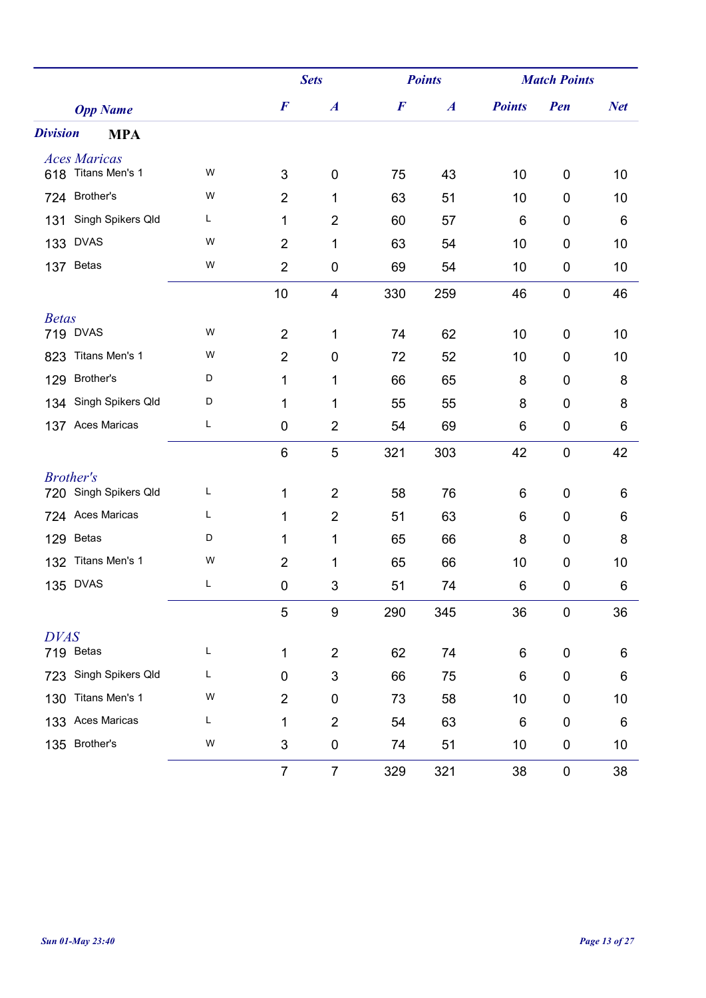|                               |   |                  | <b>Sets</b>      |                  | <b>Points</b>    |               | <b>Match Points</b> |            |  |
|-------------------------------|---|------------------|------------------|------------------|------------------|---------------|---------------------|------------|--|
| <b>Opp Name</b>               |   | $\boldsymbol{F}$ | $\boldsymbol{A}$ | $\boldsymbol{F}$ | $\boldsymbol{A}$ | <b>Points</b> | Pen                 | <b>Net</b> |  |
| <b>Division</b><br><b>MPA</b> |   |                  |                  |                  |                  |               |                     |            |  |
| <b>Aces Maricas</b>           |   |                  |                  |                  |                  |               |                     |            |  |
| Titans Men's 1<br>618         | W | 3                | $\mathbf 0$      | 75               | 43               | 10            | 0                   | 10         |  |
| Brother's<br>724              | W | $\overline{2}$   | 1                | 63               | 51               | 10            | 0                   | 10         |  |
| Singh Spikers Qld<br>131      | L | 1                | $\overline{2}$   | 60               | 57               | 6             | 0                   | 6          |  |
| <b>DVAS</b><br>133            | W | $\overline{2}$   | 1                | 63               | 54               | 10            | 0                   | 10         |  |
| <b>Betas</b><br>137           | W | $\overline{2}$   | 0                | 69               | 54               | 10            | 0                   | 10         |  |
|                               |   | 10               | 4                | 330              | 259              | 46            | $\pmb{0}$           | 46         |  |
| <b>Betas</b>                  |   |                  |                  |                  |                  |               |                     |            |  |
| 719 DVAS                      | W | $\overline{2}$   | 1                | 74               | 62               | 10            | 0                   | 10         |  |
| Titans Men's 1<br>823         | W | $\overline{2}$   | $\mathbf 0$      | 72               | 52               | 10            | 0                   | 10         |  |
| Brother's<br>129              | D | 1                | 1                | 66               | 65               | 8             | 0                   | 8          |  |
| Singh Spikers Qld<br>134      | D | 1                | 1                | 55               | 55               | 8             | 0                   | 8          |  |
| 137 Aces Maricas              | L | $\mathbf 0$      | $\overline{2}$   | 54               | 69               | 6             | 0                   | 6          |  |
|                               |   | $6\phantom{1}6$  | 5                | 321              | 303              | 42            | $\mathbf 0$         | 42         |  |
| <b>Brother's</b>              |   |                  |                  |                  |                  |               |                     |            |  |
| 720 Singh Spikers Qld         | L | 1                | $\overline{2}$   | 58               | 76               | 6             | 0                   | 6          |  |
| Aces Maricas<br>724           | L | 1                | $\overline{2}$   | 51               | 63               | 6             | 0                   | 6          |  |
| <b>Betas</b><br>129           | D | 1                | 1                | 65               | 66               | 8             | 0                   | 8          |  |
| Titans Men's 1<br>132         | W | $\overline{2}$   | 1                | 65               | 66               | 10            | 0                   | 10         |  |
| <b>DVAS</b><br>135            | L | $\mathbf 0$      | 3                | 51               | 74               | 6             | $\mathbf 0$         | 6          |  |
|                               |   | $\mathbf 5$      | $\boldsymbol{9}$ | 290              | 345              | 36            | $\pmb{0}$           | 36         |  |
| <b>DVAS</b>                   |   |                  |                  |                  |                  |               |                     |            |  |
| 719 Betas                     | L | 1                | $\overline{2}$   | 62               | 74               | 6             | 0                   | 6          |  |
| Singh Spikers Qld<br>723      | L | $\mathbf 0$      | $\sqrt{3}$       | 66               | 75               | 6             | 0                   | 6          |  |
| Titans Men's 1<br>130         | W | $\overline{2}$   | $\pmb{0}$        | 73               | 58               | 10            | 0                   | 10         |  |
| Aces Maricas<br>133           | L | 1                | $\overline{2}$   | 54               | 63               | 6             | $\boldsymbol{0}$    | 6          |  |
| Brother's<br>135              | W | $\sqrt{3}$       | $\pmb{0}$        | 74               | 51               | 10            | 0                   | 10         |  |
|                               |   | $\overline{7}$   | $\overline{7}$   | 329              | 321              | 38            | $\pmb{0}$           | 38         |  |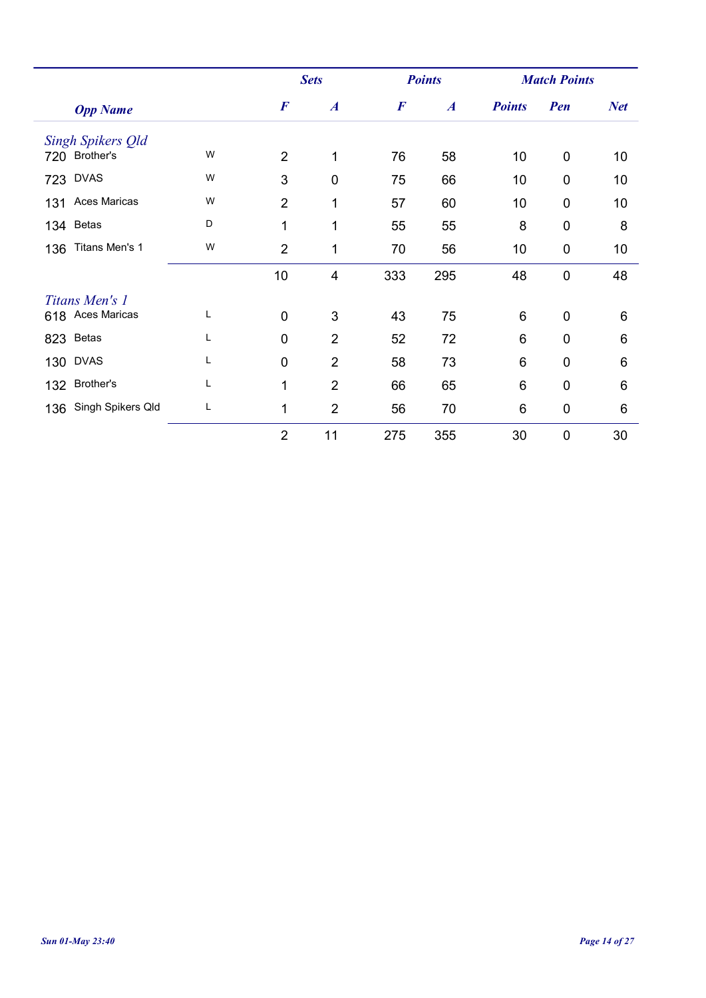|                            |   |                  | <b>Sets</b>      |                  | <b>Points</b>    |               | <b>Match Points</b> |            |
|----------------------------|---|------------------|------------------|------------------|------------------|---------------|---------------------|------------|
| <b>Opp Name</b>            |   | $\boldsymbol{F}$ | $\boldsymbol{A}$ | $\boldsymbol{F}$ | $\boldsymbol{A}$ | <b>Points</b> | Pen                 | <b>Net</b> |
| Singh Spikers Old          |   |                  |                  |                  |                  |               |                     |            |
| 720 Brother's              | W | $\overline{2}$   | 1                | 76               | 58               | 10            | $\mathbf 0$         | 10         |
| <b>DVAS</b><br>723         | W | 3                | $\overline{0}$   | 75               | 66               | 10            | 0                   | 10         |
| <b>Aces Maricas</b><br>131 | W | $\overline{2}$   | 1                | 57               | 60               | 10            | $\mathbf 0$         | 10         |
| 134 Betas                  | D | 1                | 1                | 55               | 55               | 8             | $\mathbf 0$         | 8          |
| Titans Men's 1<br>136      | W | $\overline{2}$   | 1                | 70               | 56               | 10            | $\mathbf 0$         | 10         |
|                            |   | 10               | 4                | 333              | 295              | 48            | $\mathbf 0$         | 48         |
| Titans Men's 1             |   |                  |                  |                  |                  |               |                     |            |
| 618 Aces Maricas           | L | $\mathbf 0$      | 3                | 43               | 75               | 6             | $\mathbf 0$         | 6          |
| 823 Betas                  | L | 0                | $\overline{2}$   | 52               | 72               | 6             | $\overline{0}$      | 6          |
| <b>130 DVAS</b>            | L | $\overline{0}$   | $\overline{2}$   | 58               | 73               | 6             | $\mathbf 0$         | 6          |
| 132 Brother's              |   | 1                | $\overline{2}$   | 66               | 65               | 6             | $\overline{0}$      | 6          |
| 136 Singh Spikers Qld      | Г | 1                | $\overline{2}$   | 56               | 70               | 6             | $\mathbf 0$         | 6          |
|                            |   | $\overline{2}$   | 11               | 275              | 355              | 30            | $\mathbf 0$         | 30         |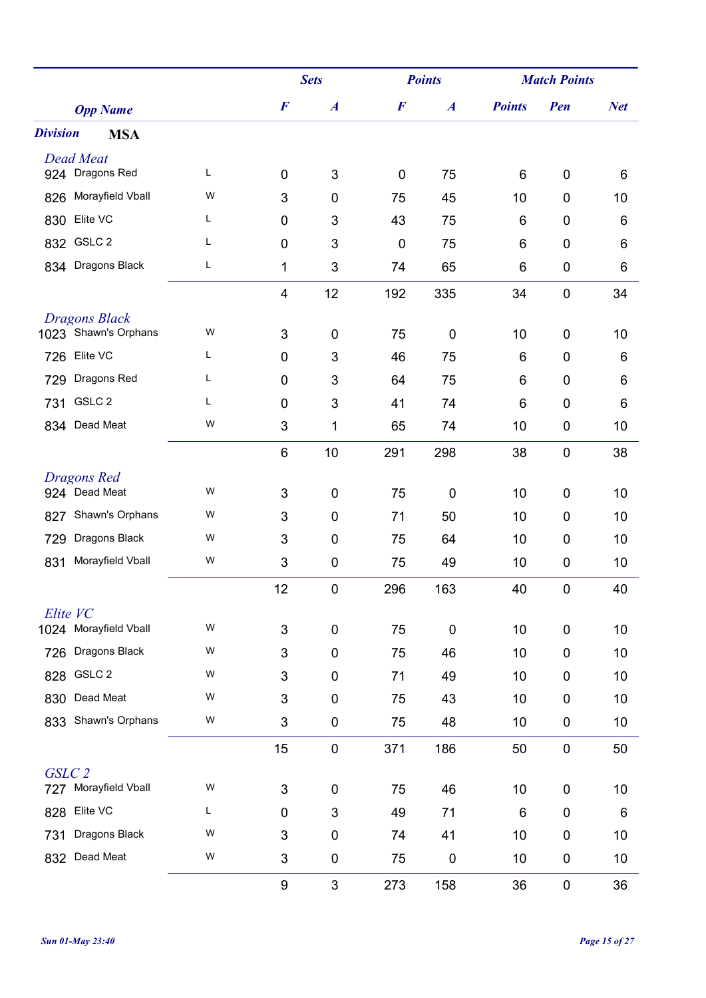|                                           |   |                         | <b>Sets</b>      |             | <b>Points</b>    |               | <b>Match Points</b> |            |  |
|-------------------------------------------|---|-------------------------|------------------|-------------|------------------|---------------|---------------------|------------|--|
| <b>Opp Name</b>                           |   | $\boldsymbol{F}$        | $\boldsymbol{A}$ | $\bm{F}$    | $\boldsymbol{A}$ | <b>Points</b> | Pen                 | <b>Net</b> |  |
| <b>Division</b><br><b>MSA</b>             |   |                         |                  |             |                  |               |                     |            |  |
| <b>Dead Meat</b>                          |   |                         |                  |             |                  |               |                     |            |  |
| 924 Dragons Red                           | L | $\mathbf 0$             | 3                | $\mathbf 0$ | 75               | 6             | $\mathbf 0$         | 6          |  |
| Morayfield Vball<br>826                   | W | 3                       | $\mathbf 0$      | 75          | 45               | 10            | $\mathbf 0$         | 10         |  |
| Elite VC<br>830                           | Г | 0                       | 3                | 43          | 75               | 6             | $\mathbf 0$         | 6          |  |
| 832 GSLC 2                                | Г | 0                       | 3                | $\mathbf 0$ | 75               | 6             | $\mathbf 0$         | 6          |  |
| 834 Dragons Black                         | L | 1                       | 3                | 74          | 65               | 6             | $\boldsymbol{0}$    | 6          |  |
|                                           |   | $\overline{\mathbf{4}}$ | 12               | 192         | 335              | 34            | $\mathbf 0$         | 34         |  |
| Dragons Black                             |   |                         |                  |             |                  |               |                     |            |  |
| 1023 Shawn's Orphans                      | W | 3                       | 0                | 75          | 0                | 10            | $\mathbf 0$         | 10         |  |
| Elite VC<br>726                           | L | 0                       | 3                | 46          | 75               | 6             | $\mathbf 0$         | 6          |  |
| Dragons Red<br>729                        | Г | 0                       | 3                | 64          | 75               | 6             | $\mathbf 0$         | 6          |  |
| GSLC <sub>2</sub><br>731                  | Г | 0                       | 3                | 41          | 74               | 6             | $\mathbf 0$         | 6          |  |
| 834 Dead Meat                             | W | 3                       | 1                | 65          | 74               | 10            | $\mathbf 0$         | 10         |  |
|                                           |   | 6                       | 10               | 291         | 298              | 38            | $\mathbf 0$         | 38         |  |
| <b>Dragons Red</b>                        |   |                         |                  |             |                  |               |                     |            |  |
| 924 Dead Meat                             | W | 3                       | $\pmb{0}$        | 75          | 0                | 10            | $\mathbf 0$         | 10         |  |
| Shawn's Orphans<br>827                    | W | 3                       | 0                | 71          | 50               | 10            | $\mathbf 0$         | 10         |  |
| Dragons Black<br>729                      | W | 3                       | $\mathbf 0$      | 75          | 64               | 10            | $\mathbf 0$         | 10         |  |
| Morayfield Vball<br>831                   | W | 3                       | 0                | 75          | 49               | 10            | $\mathbf 0$         | 10         |  |
|                                           |   | 12                      | $\pmb{0}$        | 296         | 163              | 40            | 0                   | 40         |  |
| Elite VC                                  |   |                         |                  |             |                  |               |                     |            |  |
| 1024 Morayfield Vball                     | W | 3                       | $\pmb{0}$        | 75          | 0                | 10            | $\boldsymbol{0}$    | 10         |  |
| Dragons Black<br>726                      | W | 3                       | $\pmb{0}$        | 75          | 46               | 10            | $\mathbf 0$         | 10         |  |
| GSLC <sub>2</sub><br>828                  | W | 3                       | 0                | 71          | 49               | 10            | $\boldsymbol{0}$    | 10         |  |
| Dead Meat<br>830                          | W | 3                       | $\pmb{0}$        | 75          | 43               | 10            | $\mathbf 0$         | 10         |  |
| Shawn's Orphans<br>833                    | W | 3                       | $\pmb{0}$        | 75          | 48               | 10            | $\pmb{0}$           | 10         |  |
|                                           |   | 15                      | $\pmb{0}$        | 371         | 186              | 50            | $\pmb{0}$           | 50         |  |
| GSLC <sub>2</sub><br>727 Morayfield Vball | W | 3                       | 0                | 75          | 46               | 10            | $\pmb{0}$           | 10         |  |
| Elite VC<br>828                           | L | $\pmb{0}$               | 3                | 49          | 71               | 6             | $\pmb{0}$           | 6          |  |
| Dragons Black                             | W |                         |                  |             |                  |               |                     |            |  |
| 731<br>Dead Meat                          | W | 3                       | 0                | 74          | 41               | 10            | $\mathbf 0$         | 10         |  |
| 832                                       |   | 3                       | 0                | 75          | $\pmb{0}$        | 10            | $\pmb{0}$           | 10         |  |
|                                           |   | 9                       | 3                | 273         | 158              | 36            | $\pmb{0}$           | 36         |  |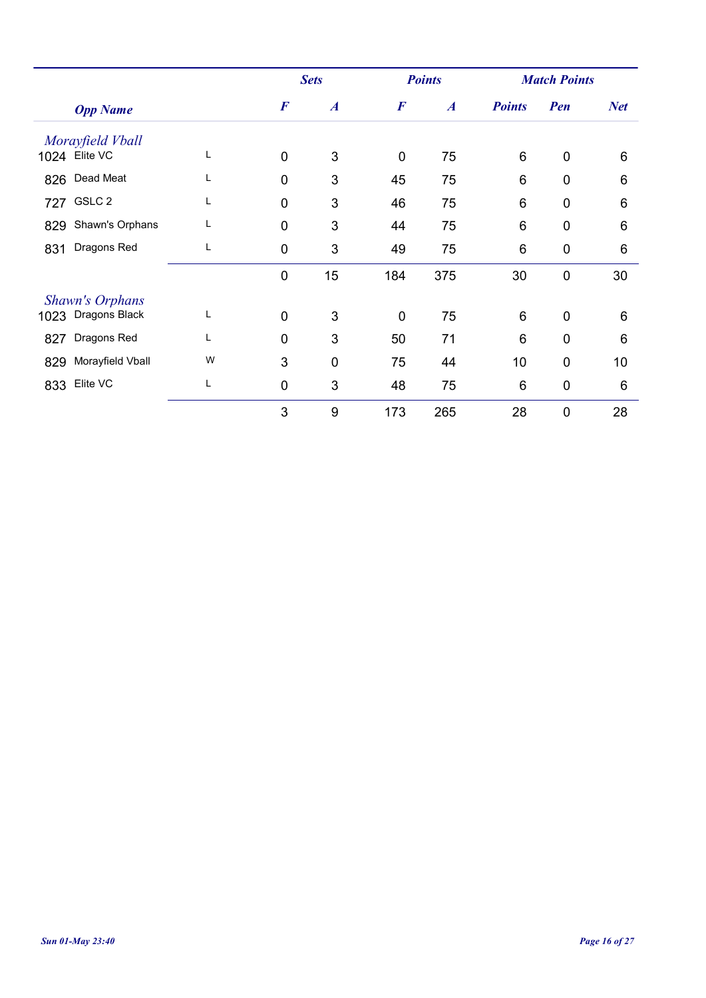|      |                        |   |                  | <b>Sets</b>      | <b>Points</b>    |                  |                 | <b>Match Points</b> |            |
|------|------------------------|---|------------------|------------------|------------------|------------------|-----------------|---------------------|------------|
|      | <b>Opp Name</b>        |   | $\boldsymbol{F}$ | $\boldsymbol{A}$ | $\boldsymbol{F}$ | $\boldsymbol{A}$ | <b>Points</b>   | Pen                 | <b>Net</b> |
|      | Morayfield Vball       |   |                  |                  |                  |                  |                 |                     |            |
|      | 1024 Elite VC          | L | $\overline{0}$   | 3                | $\overline{0}$   | 75               | 6               | $\mathbf 0$         | 6          |
| 826  | Dead Meat              | L | $\mathbf 0$      | 3                | 45               | 75               | $6\phantom{1}6$ | $\mathbf 0$         | 6          |
|      | 727 GSLC 2             | L | $\mathbf 0$      | 3                | 46               | 75               | 6               | $\mathbf 0$         | 6          |
| 829  | Shawn's Orphans        | L | $\overline{0}$   | 3                | 44               | 75               | 6               | $\mathbf 0$         | 6          |
| 831  | Dragons Red            | Г | $\mathbf 0$      | 3                | 49               | 75               | 6               | $\mathbf 0$         | 6          |
|      |                        |   | $\mathbf 0$      | 15               | 184              | 375              | 30              | $\mathbf 0$         | 30         |
|      | <b>Shawn's Orphans</b> |   |                  |                  |                  |                  |                 |                     |            |
| 1023 | Dragons Black          | L | $\mathbf{0}$     | 3                | $\overline{0}$   | 75               | 6               | $\mathbf 0$         | 6          |
| 827  | Dragons Red            | L | $\mathbf{0}$     | 3                | 50               | 71               | 6               | $\mathbf 0$         | 6          |
| 829  | Morayfield Vball       | W | 3                | $\mathbf 0$      | 75               | 44               | 10              | $\mathbf 0$         | 10         |
| 833  | Elite VC               | Г | $\overline{0}$   | 3                | 48               | 75               | 6               | $\mathbf 0$         | 6          |
|      |                        |   | 3                | 9                | 173              | 265              | 28              | $\overline{0}$      | 28         |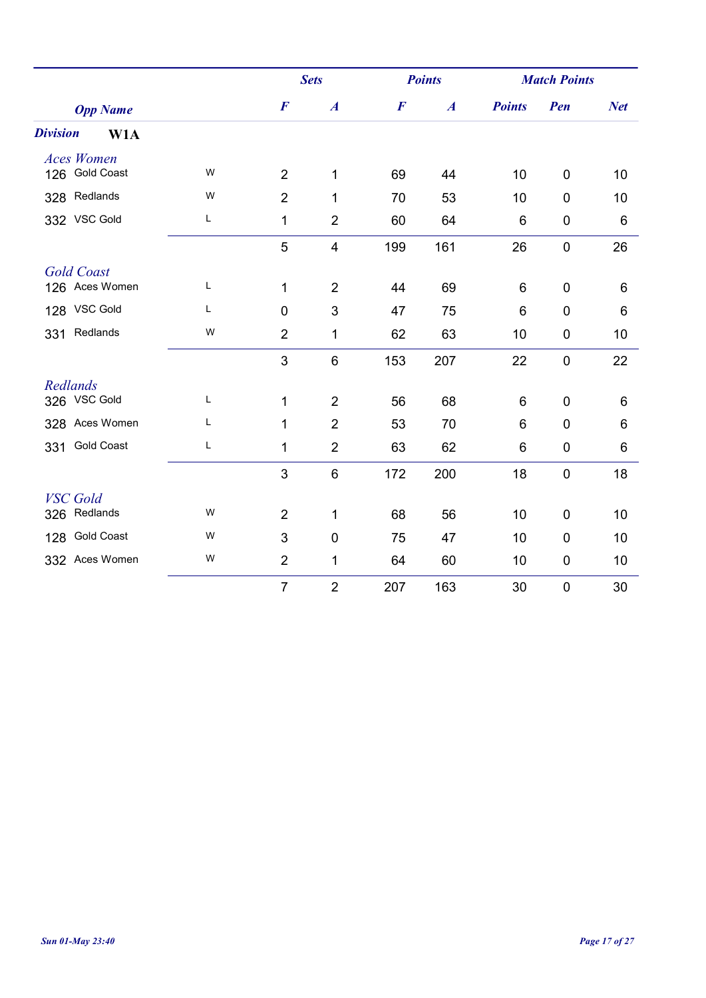|                                     |   |                  | <b>Sets</b>      |                  | <b>Points</b>    |               | <b>Match Points</b> |            |
|-------------------------------------|---|------------------|------------------|------------------|------------------|---------------|---------------------|------------|
| <b>Opp Name</b>                     |   | $\boldsymbol{F}$ | $\boldsymbol{A}$ | $\boldsymbol{F}$ | $\boldsymbol{A}$ | <b>Points</b> | Pen                 | <b>Net</b> |
| <b>Division</b><br>W <sub>1</sub> A |   |                  |                  |                  |                  |               |                     |            |
| <b>Aces Women</b>                   |   |                  |                  |                  |                  |               |                     |            |
| <b>Gold Coast</b><br>126            | W | $\overline{2}$   | 1                | 69               | 44               | 10            | $\overline{0}$      | 10         |
| Redlands<br>328                     | W | $\overline{2}$   | 1                | 70               | 53               | 10            | $\overline{0}$      | 10         |
| 332 VSC Gold                        | L | 1                | $\overline{2}$   | 60               | 64               | 6             | 0                   | 6          |
|                                     |   | 5                | 4                | 199              | 161              | 26            | $\mathbf 0$         | 26         |
| <b>Gold Coast</b>                   |   |                  |                  |                  |                  |               |                     |            |
| 126 Aces Women                      | L | $\mathbf{1}$     | $\overline{2}$   | 44               | 69               | 6             | $\overline{0}$      | 6          |
| 128 VSC Gold                        | Г | $\overline{0}$   | 3                | 47               | 75               | 6             | $\overline{0}$      | 6          |
| Redlands<br>331                     | W | $\overline{2}$   | 1                | 62               | 63               | 10            | $\pmb{0}$           | 10         |
|                                     |   | 3                | $\,6$            | 153              | 207              | 22            | $\pmb{0}$           | 22         |
| Redlands                            |   |                  |                  |                  |                  |               |                     |            |
| 326 VSC Gold                        | Г | $\mathbf{1}$     | $\overline{2}$   | 56               | 68               | 6             | $\overline{0}$      | 6          |
| 328 Aces Women                      | Г | 1                | $\overline{2}$   | 53               | 70               | 6             | $\overline{0}$      | 6          |
| <b>Gold Coast</b><br>331            | Г | 1                | $\overline{2}$   | 63               | 62               | 6             | $\pmb{0}$           | 6          |
|                                     |   | 3                | $\,6$            | 172              | 200              | 18            | $\pmb{0}$           | 18         |
| <b>VSC</b> Gold                     |   |                  |                  |                  |                  |               |                     |            |
| Redlands<br>326                     | W | $\overline{2}$   | 1                | 68               | 56               | 10            | $\overline{0}$      | 10         |
| <b>Gold Coast</b><br>128            | W | 3                | $\overline{0}$   | 75               | 47               | 10            | $\mathbf 0$         | 10         |
| 332 Aces Women                      | W | $\overline{2}$   | 1                | 64               | 60               | 10            | 0                   | 10         |
|                                     |   | $\overline{7}$   | $\overline{2}$   | 207              | 163              | 30            | $\boldsymbol{0}$    | 30         |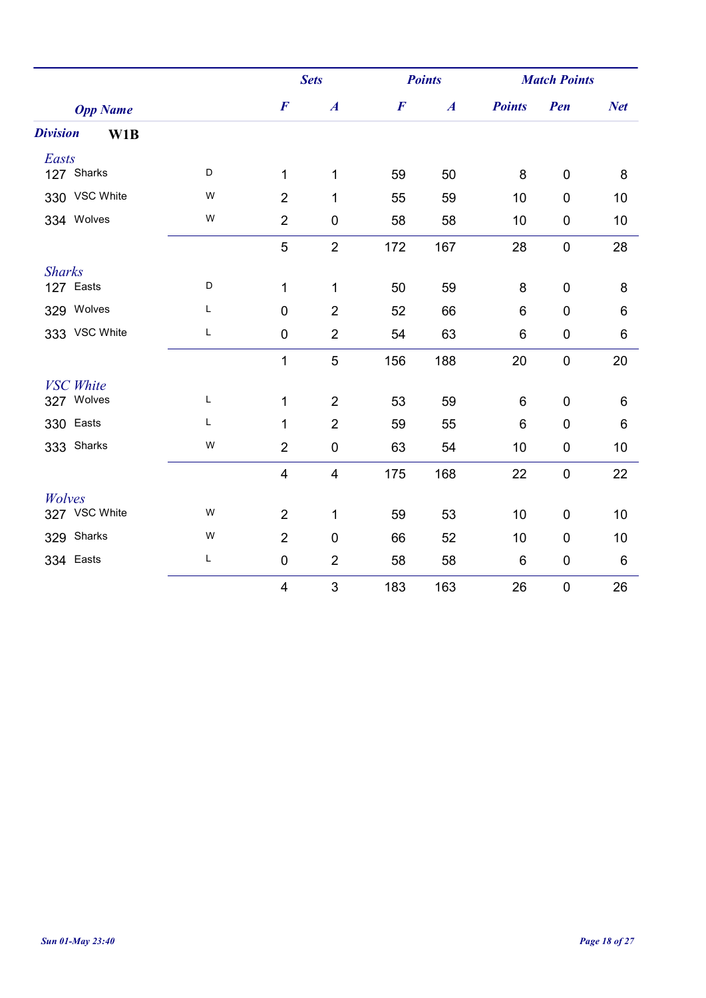|                        |   |                         | <b>Sets</b>             |                  | <b>Points</b>    |               | <b>Match Points</b> |            |
|------------------------|---|-------------------------|-------------------------|------------------|------------------|---------------|---------------------|------------|
| <b>Opp Name</b>        |   | $\boldsymbol{F}$        | $\boldsymbol{A}$        | $\boldsymbol{F}$ | $\boldsymbol{A}$ | <b>Points</b> | Pen                 | <b>Net</b> |
| <b>Division</b><br>W1B |   |                         |                         |                  |                  |               |                     |            |
| Easts                  |   |                         |                         |                  |                  |               |                     |            |
| 127 Sharks             | D | $\mathbf{1}$            | 1                       | 59               | 50               | 8             | $\mathbf 0$         | 8          |
| 330 VSC White          | W | $\overline{2}$          | 1                       | 55               | 59               | 10            | $\mathbf 0$         | 10         |
| 334 Wolves             | W | $\overline{2}$          | 0                       | 58               | 58               | 10            | 0                   | 10         |
|                        |   | 5                       | $\overline{2}$          | 172              | 167              | 28            | $\pmb{0}$           | 28         |
| <b>Sharks</b>          |   |                         |                         |                  |                  |               |                     |            |
| 127 Easts              | D | 1                       | 1                       | 50               | 59               | 8             | 0                   | 8          |
| 329 Wolves             | Г | $\mathbf 0$             | $\overline{2}$          | 52               | 66               | 6             | $\mathbf 0$         | 6          |
| 333 VSC White          | L | $\mathbf 0$             | $\overline{2}$          | 54               | 63               | 6             | 0                   | 6          |
|                        |   | $\mathbf{1}$            | 5                       | 156              | 188              | 20            | $\pmb{0}$           | 20         |
| <b>VSC</b> White       |   |                         |                         |                  |                  |               |                     |            |
| 327 Wolves             | Г | $\mathbf{1}$            | $\overline{2}$          | 53               | 59               | 6             | $\overline{0}$      | 6          |
| 330 Easts              | Г | 1                       | $\overline{2}$          | 59               | 55               | 6             | $\mathbf 0$         | 6          |
| 333 Sharks             | W | $\overline{2}$          | $\pmb{0}$               | 63               | 54               | 10            | $\pmb{0}$           | 10         |
|                        |   | $\overline{\mathbf{4}}$ | $\overline{\mathbf{4}}$ | 175              | 168              | 22            | $\pmb{0}$           | 22         |
| Wolves                 |   |                         |                         |                  |                  |               |                     |            |
| 327 VSC White          | W | $\overline{2}$          | $\mathbf{1}$            | 59               | 53               | 10            | 0                   | 10         |
| 329 Sharks             | W | $\overline{2}$          | $\mathbf 0$             | 66               | 52               | 10            | $\mathbf 0$         | 10         |
| 334 Easts              | L | $\pmb{0}$               | $\overline{2}$          | 58               | 58               | 6             | 0                   | 6          |
|                        |   | $\overline{4}$          | $\mathsf 3$             | 183              | 163              | 26            | $\boldsymbol{0}$    | 26         |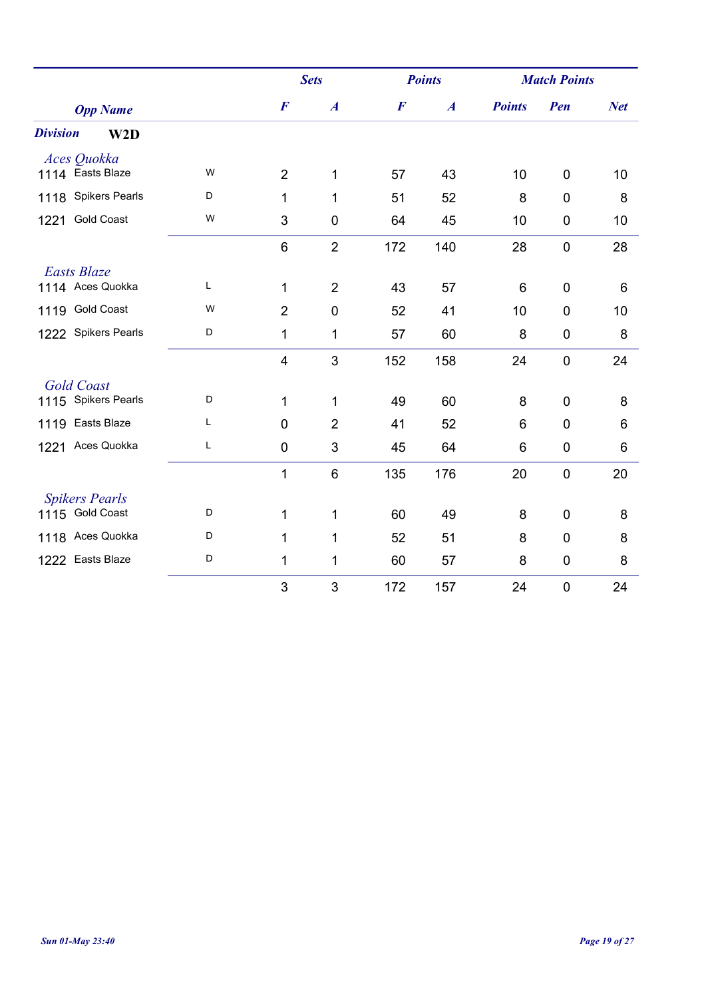|                           |   |                         | <b>Sets</b>      |                  | <b>Points</b>    | <b>Match Points</b> |                  |            |
|---------------------------|---|-------------------------|------------------|------------------|------------------|---------------------|------------------|------------|
| <b>Opp Name</b>           |   | $\boldsymbol{F}$        | $\boldsymbol{A}$ | $\boldsymbol{F}$ | $\boldsymbol{A}$ | <b>Points</b>       | Pen              | <b>Net</b> |
| <b>Division</b><br>W2D    |   |                         |                  |                  |                  |                     |                  |            |
| Aces Quokka               |   |                         |                  |                  |                  |                     |                  |            |
| 1114 Easts Blaze          | W | $\overline{2}$          | 1                | 57               | 43               | 10                  | $\overline{0}$   | 10         |
| 1118 Spikers Pearls       | D | 1                       | 1                | 51               | 52               | 8                   | $\overline{0}$   | 8          |
| <b>Gold Coast</b><br>1221 | W | 3                       | $\mathbf 0$      | 64               | 45               | 10                  | $\mathbf 0$      | 10         |
|                           |   | 6                       | $\overline{2}$   | 172              | 140              | 28                  | $\mathbf 0$      | 28         |
| <b>Easts Blaze</b>        |   |                         |                  |                  |                  |                     |                  |            |
| 1114 Aces Quokka          | L | 1                       | $\overline{2}$   | 43               | 57               | 6                   | $\mathbf 0$      | 6          |
| 1119 Gold Coast           | W | $\overline{2}$          | $\mathbf 0$      | 52               | 41               | 10                  | $\overline{0}$   | 10         |
| 1222 Spikers Pearls       | D | $\mathbf{1}$            | 1                | 57               | 60               | 8                   | $\mathbf 0$      | 8          |
|                           |   | $\overline{\mathbf{4}}$ | 3                | 152              | 158              | 24                  | $\mathbf 0$      | 24         |
| <b>Gold Coast</b>         |   |                         |                  |                  |                  |                     |                  |            |
| 1115 Spikers Pearls       | D | 1                       | 1                | 49               | 60               | 8                   | $\overline{0}$   | 8          |
| 1119 Easts Blaze          | L | 0                       | $\overline{2}$   | 41               | 52               | 6                   | $\overline{0}$   | 6          |
| 1221 Aces Quokka          | Г | $\pmb{0}$               | 3                | 45               | 64               | 6                   | $\boldsymbol{0}$ | 6          |
|                           |   | 1                       | $6\phantom{1}$   | 135              | 176              | 20                  | $\mathbf 0$      | 20         |
| <b>Spikers Pearls</b>     |   |                         |                  |                  |                  |                     |                  |            |
| 1115 Gold Coast           | D | 1                       | 1                | 60               | 49               | 8                   | $\overline{0}$   | 8          |
| 1118 Aces Quokka          | D | 1                       | 1                | 52               | 51               | 8                   | $\overline{0}$   | 8          |
| 1222 Easts Blaze          | D | $\mathbf{1}$            | 1                | 60               | 57               | 8                   | $\mathbf 0$      | 8          |
|                           |   | 3                       | 3                | 172              | 157              | 24                  | $\mathbf 0$      | 24         |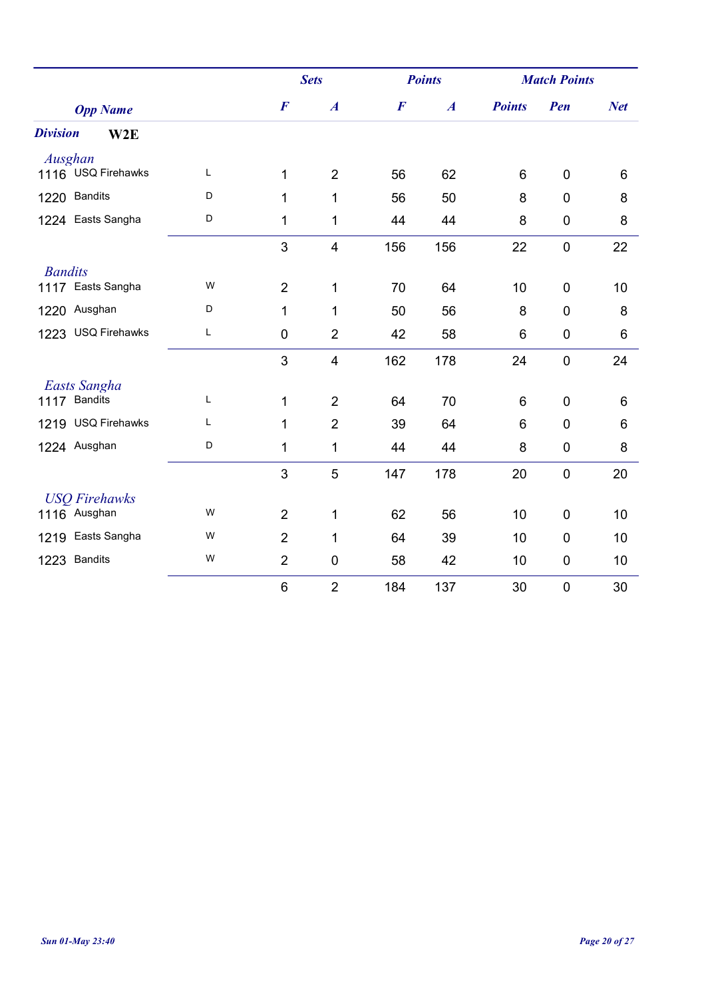|                                     |   |                  | <b>Sets</b>      |                  | <b>Points</b>    | <b>Match Points</b> |                  |            |
|-------------------------------------|---|------------------|------------------|------------------|------------------|---------------------|------------------|------------|
| <b>Opp Name</b>                     |   | $\boldsymbol{F}$ | $\boldsymbol{A}$ | $\boldsymbol{F}$ | $\boldsymbol{A}$ | <b>Points</b>       | Pen              | <b>Net</b> |
| <b>Division</b><br>W <sub>2</sub> E |   |                  |                  |                  |                  |                     |                  |            |
| Ausghan                             |   |                  |                  |                  |                  |                     |                  |            |
| 1116 USQ Firehawks                  | L | 1                | $\overline{2}$   | 56               | 62               | 6                   | $\mathbf 0$      | 6          |
| 1220 Bandits                        | D | 1                | 1                | 56               | 50               | 8                   | $\mathbf 0$      | 8          |
| 1224 Easts Sangha                   | D | 1                | 1                | 44               | 44               | 8                   | $\mathbf 0$      | 8          |
|                                     |   | 3                | 4                | 156              | 156              | 22                  | $\mathbf 0$      | 22         |
| <b>Bandits</b>                      |   |                  |                  |                  |                  |                     |                  |            |
| 1117 Easts Sangha                   | W | $\overline{2}$   | 1                | 70               | 64               | 10                  | $\mathbf 0$      | 10         |
| 1220 Ausghan                        | D | 1                | 1                | 50               | 56               | 8                   | $\overline{0}$   | 8          |
| 1223 USQ Firehawks                  | L | $\pmb{0}$        | $\overline{2}$   | 42               | 58               | 6                   | $\boldsymbol{0}$ | 6          |
|                                     |   | 3                | $\overline{4}$   | 162              | 178              | 24                  | $\boldsymbol{0}$ | 24         |
| Easts Sangha                        |   |                  |                  |                  |                  |                     |                  |            |
| 1117 Bandits                        | Г | 1                | $\overline{2}$   | 64               | 70               | 6                   | $\mathbf 0$      | 6          |
| 1219 USQ Firehawks                  | L | 1                | $\overline{2}$   | 39               | 64               | 6                   | $\overline{0}$   | 6          |
| 1224 Ausghan                        | D | 1                | 1                | 44               | 44               | 8                   | $\mathbf 0$      | 8          |
|                                     |   | 3                | 5                | 147              | 178              | 20                  | $\mathbf 0$      | 20         |
| <b>USO Firehawks</b>                |   |                  |                  |                  |                  |                     |                  |            |
| 1116 Ausghan                        | W | $\overline{2}$   | 1                | 62               | 56               | 10                  | $\mathbf 0$      | 10         |
| 1219 Easts Sangha                   | W | $\overline{2}$   | 1                | 64               | 39               | 10                  | $\mathbf 0$      | 10         |
| 1223 Bandits                        | W | $\overline{2}$   | 0                | 58               | 42               | 10                  | $\mathbf 0$      | 10         |
|                                     |   | $\,6$            | $\overline{2}$   | 184              | 137              | 30                  | $\mathbf 0$      | 30         |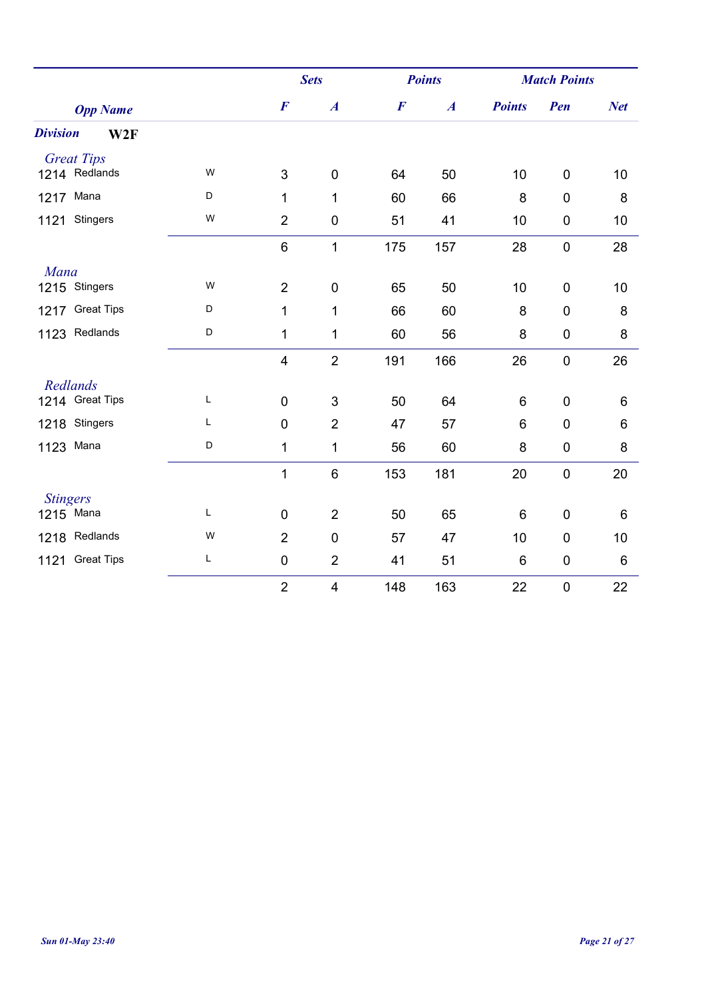|                        |   |                         | <b>Sets</b>             |                  | <b>Points</b>    |                 | <b>Match Points</b> |            |
|------------------------|---|-------------------------|-------------------------|------------------|------------------|-----------------|---------------------|------------|
| <b>Opp Name</b>        |   | $\boldsymbol{F}$        | $\boldsymbol{A}$        | $\boldsymbol{F}$ | $\boldsymbol{A}$ | <b>Points</b>   | Pen                 | <b>Net</b> |
| <b>Division</b><br>W2F |   |                         |                         |                  |                  |                 |                     |            |
| <b>Great Tips</b>      |   |                         |                         |                  |                  |                 |                     |            |
| 1214 Redlands          | W | 3                       | $\mathbf 0$             | 64               | 50               | 10              | $\mathbf 0$         | 10         |
| 1217 Mana              | D | 1                       | 1                       | 60               | 66               | 8               | $\mathbf 0$         | 8          |
| Stingers<br>1121       | W | $\overline{2}$          | $\pmb{0}$               | 51               | 41               | 10              | $\boldsymbol{0}$    | 10         |
|                        |   | 6                       | $\mathbf{1}$            | 175              | 157              | 28              | $\boldsymbol{0}$    | 28         |
| Mana                   |   |                         |                         |                  |                  |                 |                     |            |
| 1215 Stingers          | W | $\overline{2}$          | $\mathbf 0$             | 65               | 50               | 10              | $\overline{0}$      | 10         |
| 1217 Great Tips        | D | 1                       | 1                       | 66               | 60               | 8               | $\mathbf 0$         | 8          |
| 1123 Redlands          | D | 1                       | 1                       | 60               | 56               | 8               | $\boldsymbol{0}$    | $\bf 8$    |
|                        |   | $\overline{\mathbf{4}}$ | $\overline{2}$          | 191              | 166              | 26              | $\boldsymbol{0}$    | 26         |
| Redlands               |   |                         |                         |                  |                  |                 |                     |            |
| 1214 Great Tips        | L | $\mathbf 0$             | 3                       | 50               | 64               | 6               | $\overline{0}$      | 6          |
| 1218 Stingers          | Г | $\mathbf 0$             | $\overline{2}$          | 47               | 57               | $6\phantom{1}6$ | $\mathbf 0$         | 6          |
| 1123 Mana              | D | 1                       | $\mathbf 1$             | 56               | 60               | 8               | $\boldsymbol{0}$    | 8          |
|                        |   | 1                       | $\,6\,$                 | 153              | 181              | 20              | $\pmb{0}$           | 20         |
| <b>Stingers</b>        |   |                         |                         |                  |                  |                 |                     |            |
| 1215 Mana              | L | $\mathbf 0$             | $\overline{2}$          | 50               | 65               | 6               | $\mathbf 0$         | 6          |
| 1218 Redlands          | W | $\overline{2}$          | $\mathbf 0$             | 57               | 47               | 10              | $\mathbf 0$         | 10         |
| 1121 Great Tips        | L | $\pmb{0}$               | $\overline{2}$          | 41               | 51               | 6               | $\pmb{0}$           | $\,6$      |
|                        |   | $\overline{2}$          | $\overline{\mathbf{4}}$ | 148              | 163              | 22              | $\pmb{0}$           | 22         |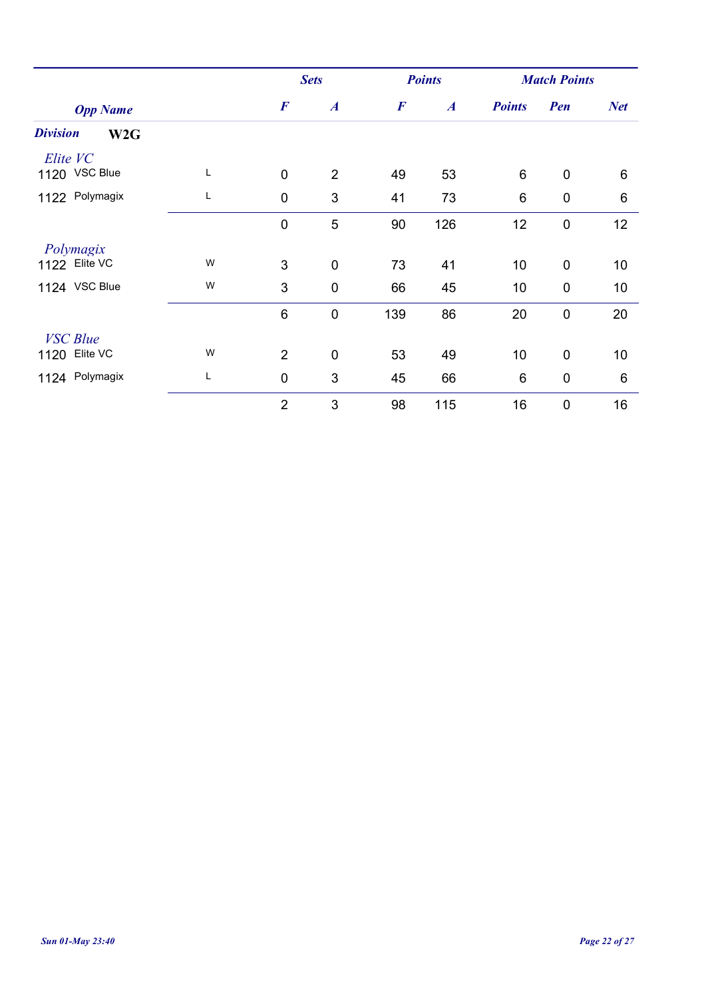|                                    |   |                  | <b>Sets</b>      |                  | <b>Points</b>    | <b>Match Points</b> |                  |            |
|------------------------------------|---|------------------|------------------|------------------|------------------|---------------------|------------------|------------|
| <b>Opp Name</b>                    |   | $\boldsymbol{F}$ | $\boldsymbol{A}$ | $\boldsymbol{F}$ | $\boldsymbol{A}$ | <b>Points</b>       | Pen              | <b>Net</b> |
| <b>Division</b><br>W <sub>2G</sub> |   |                  |                  |                  |                  |                     |                  |            |
| Elite VC<br>1120 VSC Blue          | L | $\mathbf 0$      | $\overline{2}$   | 49               | 53               | $6\phantom{1}6$     | $\mathbf 0$      | 6          |
| 1122 Polymagix                     | L | $\mathbf 0$      | $\mathfrak{S}$   | 41               | 73               | 6                   | $\boldsymbol{0}$ | 6          |
|                                    |   | $\mathbf 0$      | 5                | 90               | 126              | 12                  | $\mathbf 0$      | 12         |
| Polymagix<br>1122 Elite VC         | W | 3                | $\mathbf 0$      | 73               | 41               | 10                  | $\mathbf 0$      | 10         |
| 1124 VSC Blue                      | W | 3                | $\mathbf 0$      | 66               | 45               | 10                  | $\mathbf 0$      | 10         |
|                                    |   |                  |                  |                  |                  |                     |                  |            |
|                                    |   | $6\phantom{1}6$  | $\pmb{0}$        | 139              | 86               | 20                  | $\mathbf 0$      | 20         |
| <b>VSC</b> Blue                    |   |                  |                  |                  |                  |                     |                  |            |
| 1120 Elite VC                      | W | $\overline{2}$   | $\pmb{0}$        | 53               | 49               | 10                  | $\mathbf 0$      | 10         |
| 1124 Polymagix                     | Г | $\mathbf 0$      | 3                | 45               | 66               | $6\phantom{1}6$     | $\boldsymbol{0}$ | 6          |
|                                    |   | $\overline{2}$   | 3                | 98               | 115              | 16                  | $\mathbf 0$      | 16         |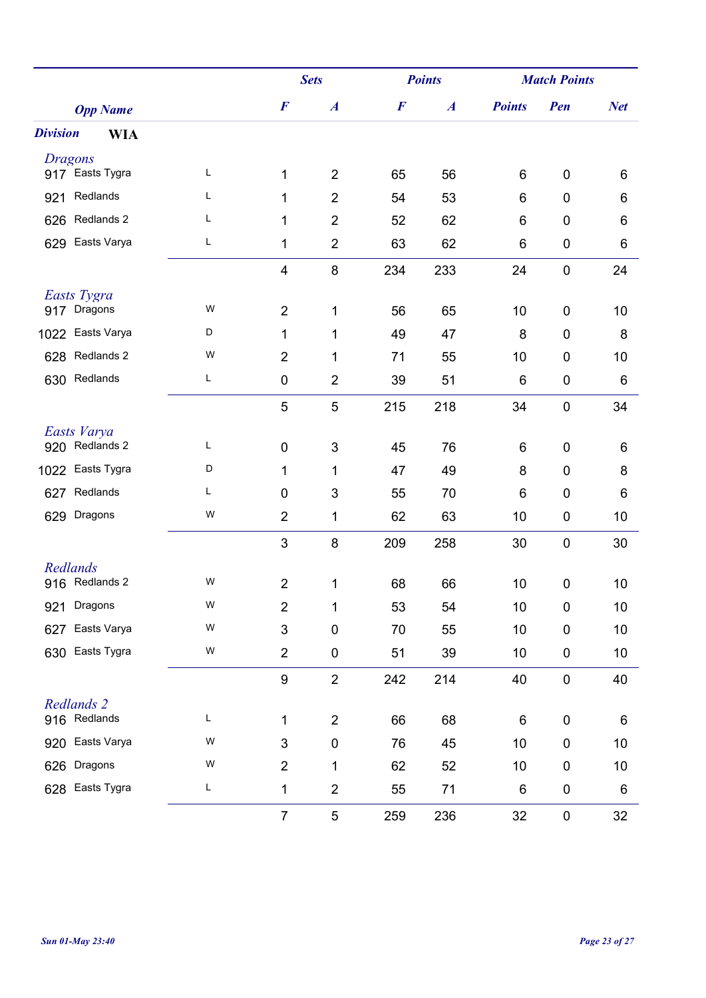|                                   |   |                           | <b>Sets</b>      | <b>Points</b>    |                  | <b>Match Points</b> |                  |            |
|-----------------------------------|---|---------------------------|------------------|------------------|------------------|---------------------|------------------|------------|
| <b>Opp Name</b>                   |   | $\boldsymbol{F}$          | $\boldsymbol{A}$ | $\boldsymbol{F}$ | $\boldsymbol{A}$ | <b>Points</b>       | Pen              | <b>Net</b> |
| <b>Division</b><br><b>WIA</b>     |   |                           |                  |                  |                  |                     |                  |            |
| <b>Dragons</b><br>917 Easts Tygra | L |                           |                  |                  |                  |                     |                  |            |
|                                   |   | 1                         | $\overline{2}$   | 65               | 56               | 6                   | $\mathbf 0$      | 6          |
| Redlands<br>921                   | L | 1                         | $\overline{2}$   | 54               | 53               | 6                   | $\mathbf 0$      | 6          |
| Redlands 2<br>626                 | Г | 1                         | $\overline{2}$   | 52               | 62               | 6                   | $\boldsymbol{0}$ | 6          |
| Easts Varya<br>629                | Г | 1                         | $\overline{2}$   | 63               | 62               | 6                   | 0                | 6          |
|                                   |   | 4                         | $\,8\,$          | 234              | 233              | 24                  | $\boldsymbol{0}$ | 24         |
| Easts Tygra                       |   |                           |                  |                  |                  |                     |                  |            |
| 917 Dragons                       | W | $\overline{2}$            | 1                | 56               | 65               | 10                  | $\mathbf 0$      | 10         |
| Easts Varya<br>1022               | D | 1                         | 1                | 49               | 47               | 8                   | $\mathbf 0$      | 8          |
| Redlands 2<br>628                 | W | $\overline{2}$            | 1                | 71               | 55               | 10                  | $\mathbf 0$      | 10         |
| Redlands<br>630                   | L | $\pmb{0}$                 | $\overline{2}$   | 39               | 51               | 6                   | $\pmb{0}$        | 6          |
|                                   |   | $\sqrt{5}$                | 5                | 215              | 218              | 34                  | $\boldsymbol{0}$ | 34         |
| Easts Varya                       |   |                           |                  |                  |                  |                     |                  |            |
| 920 Redlands 2                    | L | 0                         | 3                | 45               | 76               | 6                   | $\mathbf 0$      | 6          |
| 1022 Easts Tygra                  | D | 1                         | 1                | 47               | 49               | 8                   | $\mathbf 0$      | 8          |
| Redlands<br>627                   | L | $\pmb{0}$                 | 3                | 55               | 70               | 6                   | $\mathbf 0$      | 6          |
| Dragons<br>629                    | W | $\overline{2}$            | 1                | 62               | 63               | 10                  | $\boldsymbol{0}$ | 10         |
|                                   |   | 3                         | 8                | 209              | 258              | 30                  | $\boldsymbol{0}$ | 30         |
| Redlands<br>916 Redlands 2        | W | $\overline{2}$            | 1                | 68               | 66               | 10                  | $\boldsymbol{0}$ | 10         |
| Dragons<br>921                    | W | $\overline{2}$            | 1                | 53               | 54               | 10                  | $\mathbf 0$      | 10         |
|                                   | W |                           |                  |                  |                  |                     |                  |            |
| Easts Varya<br>627                |   | $\ensuremath{\mathsf{3}}$ | $\pmb{0}$        | 70               | 55               | 10                  | $\pmb{0}$        | 10         |
| Easts Tygra<br>630                | W | $\overline{2}$            | $\pmb{0}$        | 51               | 39               | 10                  | $\pmb{0}$        | 10         |
|                                   |   | $\boldsymbol{9}$          | $\overline{2}$   | 242              | 214              | 40                  | $\mathbf 0$      | 40         |
| Redlands 2                        |   |                           |                  |                  |                  |                     |                  |            |
| 916 Redlands                      | L | $\mathbf{1}$              | $\overline{2}$   | 66               | 68               | 6                   | $\pmb{0}$        | 6          |
| Easts Varya<br>920                | W | 3                         | $\pmb{0}$        | 76               | 45               | 10                  | $\pmb{0}$        | 10         |
| Dragons<br>626                    | W | $\overline{2}$            | 1                | 62               | 52               | 10                  | $\mathbf 0$      | 10         |
| Easts Tygra<br>628                | L | 1                         | $\overline{2}$   | 55               | 71               | $\,6$               | $\pmb{0}$        | 6          |
|                                   |   | $\overline{7}$            | $\,$ 5 $\,$      | 259              | 236              | 32                  | $\pmb{0}$        | 32         |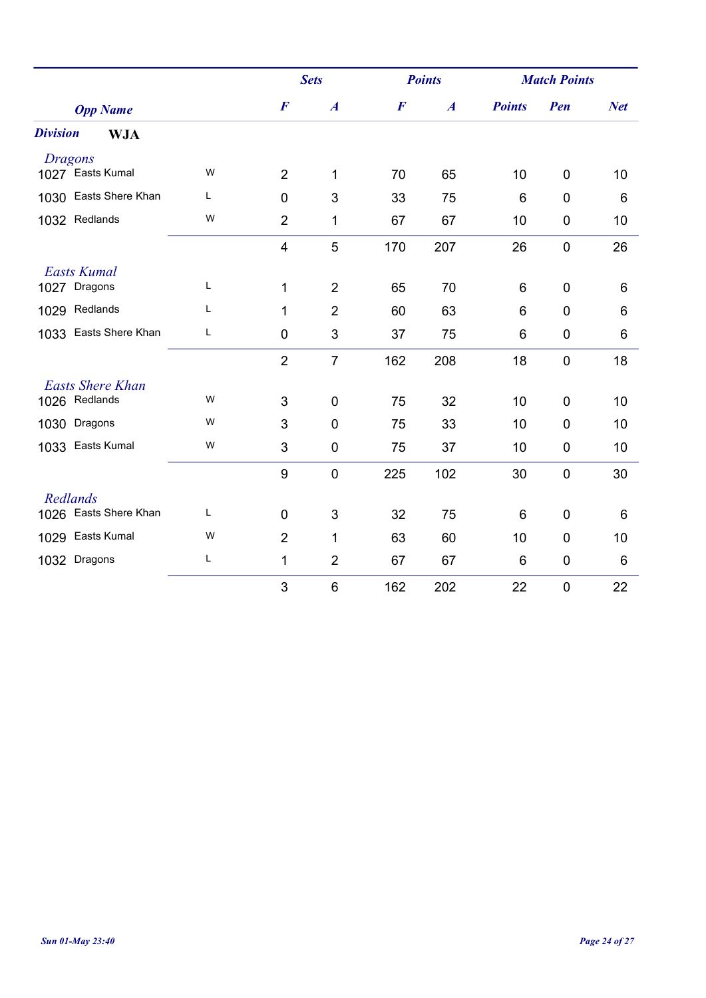|                               |   |                         | <b>Sets</b>      |                  | <b>Points</b>    | <b>Match Points</b> |                  |            |
|-------------------------------|---|-------------------------|------------------|------------------|------------------|---------------------|------------------|------------|
| <b>Opp Name</b>               |   | $\boldsymbol{F}$        | $\boldsymbol{A}$ | $\boldsymbol{F}$ | $\boldsymbol{A}$ | <b>Points</b>       | Pen              | <b>Net</b> |
| <b>Division</b><br><b>WJA</b> |   |                         |                  |                  |                  |                     |                  |            |
| <b>Dragons</b>                |   |                         |                  |                  |                  |                     |                  |            |
| 1027 Easts Kumal              | W | $\overline{2}$          | 1                | 70               | 65               | 10                  | $\mathbf 0$      | 10         |
| 1030 Easts Shere Khan         | L | 0                       | $\mathbf{3}$     | 33               | 75               | 6                   | $\mathbf 0$      | 6          |
| 1032 Redlands                 | W | $\overline{2}$          | 1                | 67               | 67               | 10                  | $\mathbf 0$      | 10         |
|                               |   | $\overline{\mathbf{4}}$ | 5                | 170              | 207              | 26                  | $\overline{0}$   | 26         |
| <b>Easts Kumal</b>            |   |                         |                  |                  |                  |                     |                  |            |
| Dragons<br>1027               | L | $\mathbf{1}$            | $\overline{2}$   | 65               | 70               | 6                   | $\mathbf 0$      | 6          |
| Redlands<br>1029              | L | 1                       | $\overline{2}$   | 60               | 63               | 6                   | $\overline{0}$   | 6          |
| 1033 Easts Shere Khan         | L | 0                       | 3                | 37               | 75               | 6                   | $\boldsymbol{0}$ | 6          |
|                               |   | $\overline{2}$          | $\overline{7}$   | 162              | 208              | 18                  | $\mathbf 0$      | 18         |
| <b>Easts Shere Khan</b>       |   |                         |                  |                  |                  |                     |                  |            |
| 1026 Redlands                 | W | 3                       | $\mathbf 0$      | 75               | 32               | 10                  | $\mathbf 0$      | 10         |
| 1030 Dragons                  | W | 3                       | $\overline{0}$   | 75               | 33               | 10                  | $\overline{0}$   | 10         |
| 1033 Easts Kumal              | W | 3                       | $\mathbf 0$      | 75               | 37               | 10                  | $\mathbf 0$      | 10         |
|                               |   | $\boldsymbol{9}$        | $\pmb{0}$        | 225              | 102              | 30                  | $\mathbf 0$      | 30         |
| Redlands                      |   |                         |                  |                  |                  |                     |                  |            |
| 1026 Easts Shere Khan         | L | $\mathbf 0$             | 3                | 32               | 75               | 6                   | $\mathbf 0$      | 6          |
| Easts Kumal<br>1029           | W | $\overline{2}$          | 1                | 63               | 60               | 10                  | $\overline{0}$   | 10         |
| 1032 Dragons                  | Г | $\mathbf{1}$            | $\overline{2}$   | 67               | 67               | 6                   | $\mathbf 0$      | 6          |
|                               |   | 3                       | $\,6$            | 162              | 202              | 22                  | $\mathbf 0$      | 22         |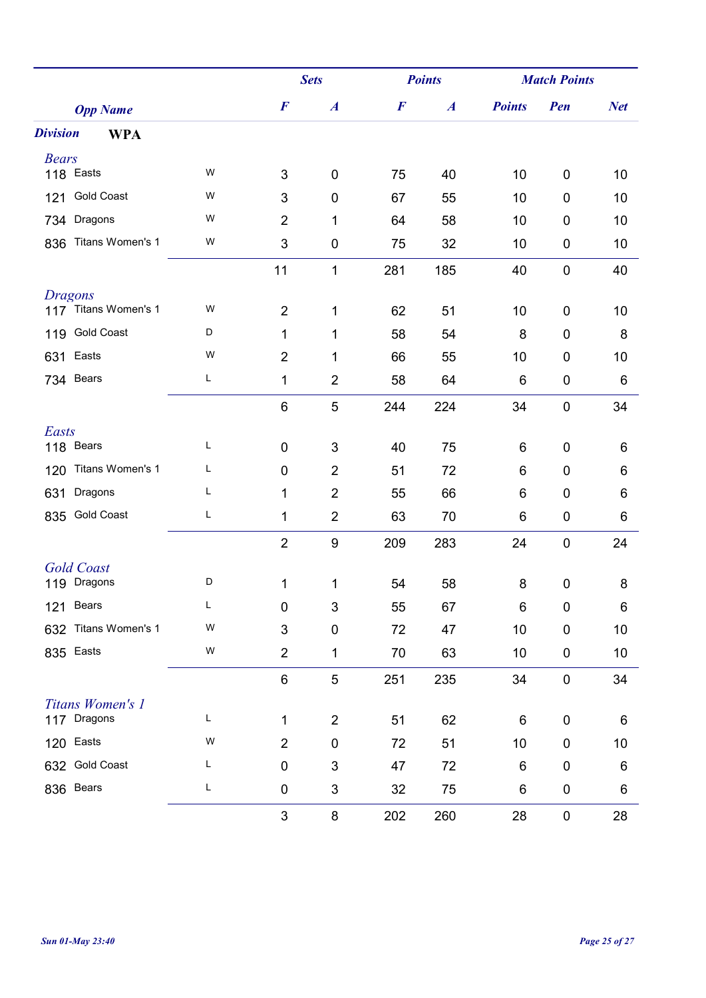|                               |   | <b>Sets</b>               |                  | <b>Points</b>    |                  | <b>Match Points</b> |                  |            |
|-------------------------------|---|---------------------------|------------------|------------------|------------------|---------------------|------------------|------------|
| <b>Opp Name</b>               |   | $\boldsymbol{F}$          | $\boldsymbol{A}$ | $\boldsymbol{F}$ | $\boldsymbol{A}$ | <b>Points</b>       | Pen              | <b>Net</b> |
| <b>Division</b><br><b>WPA</b> |   |                           |                  |                  |                  |                     |                  |            |
| <b>Bears</b>                  |   |                           |                  |                  |                  |                     |                  |            |
| 118 Easts                     | W | 3                         | $\boldsymbol{0}$ | 75               | 40               | 10                  | 0                | 10         |
| <b>Gold Coast</b><br>121      | W | 3                         | $\boldsymbol{0}$ | 67               | 55               | 10                  | $\mathbf 0$      | 10         |
| Dragons<br>734                | W | $\overline{2}$            | 1                | 64               | 58               | 10                  | 0                | 10         |
| Titans Women's 1<br>836       | W | $\mathfrak{S}$            | $\pmb{0}$        | 75               | 32               | 10                  | $\pmb{0}$        | 10         |
|                               |   | 11                        | $\mathbf{1}$     | 281              | 185              | 40                  | $\mathbf 0$      | 40         |
| <b>Dragons</b>                |   |                           |                  |                  |                  |                     |                  |            |
| 117 Titans Women's 1          | W | $\overline{2}$            | 1                | 62               | 51               | 10                  | 0                | 10         |
| <b>Gold Coast</b><br>119      | D | 1                         | 1                | 58               | 54               | 8                   | 0                | 8          |
| Easts<br>631                  | W | $\overline{2}$            | 1                | 66               | 55               | 10                  | 0                | 10         |
| 734 Bears                     | L | 1                         | $\overline{2}$   | 58               | 64               | 6                   | $\pmb{0}$        | 6          |
|                               |   | $\,6$                     | $\sqrt{5}$       | 244              | 224              | 34                  | $\pmb{0}$        | 34         |
| Easts                         |   |                           |                  |                  |                  |                     |                  |            |
| 118 Bears                     | L | $\mathbf 0$               | 3                | 40               | 75               | 6                   | 0                | 6          |
| Titans Women's 1<br>120       | Г | $\mathbf 0$               | $\overline{2}$   | 51               | 72               | 6                   | 0                | 6          |
| Dragons<br>631                | Г | 1                         | $\overline{2}$   | 55               | 66               | 6                   | $\pmb{0}$        | 6          |
| <b>Gold Coast</b><br>835      | Г | 1                         | $\overline{2}$   | 63               | 70               | 6                   | $\pmb{0}$        | 6          |
|                               |   | $\overline{2}$            | 9                | 209              | 283              | 24                  | $\mathbf 0$      | 24         |
| <b>Gold Coast</b>             |   |                           |                  |                  |                  |                     |                  |            |
| 119 Dragons                   | D | 1                         | 1                | 54               | 58               | 8                   | $\pmb{0}$        | 8          |
| Bears<br>121                  | L | $\mathbf 0$               | 3                | 55               | 67               | 6                   | 0                | 6          |
| Titans Women's 1<br>632       | W | $\mathbf{3}$              | $\mathbf 0$      | 72               | 47               | 10                  | $\boldsymbol{0}$ | 10         |
| Easts<br>835                  | W | $\overline{2}$            | 1                | 70               | 63               | 10                  | $\pmb{0}$        | 10         |
|                               |   | $\,6$                     | 5                | 251              | 235              | 34                  | $\pmb{0}$        | 34         |
| Titans Women's 1              |   |                           |                  |                  |                  |                     |                  |            |
| 117 Dragons                   | L | 1                         | $\overline{2}$   | 51               | 62               | 6                   | $\pmb{0}$        | 6          |
| Easts<br>120                  | W | $\overline{2}$            | 0                | 72               | 51               | 10                  | 0                | 10         |
| <b>Gold Coast</b><br>632      | L | $\mathbf 0$               | $\mathfrak{B}$   | 47               | 72               | $\,6$               | $\pmb{0}$        | 6          |
| Bears<br>836                  | L | $\pmb{0}$                 | $\sqrt{3}$       | 32               | 75               | 6                   | 0                | 6          |
|                               |   | $\ensuremath{\mathsf{3}}$ | 8                | 202              | 260              | 28                  | $\pmb{0}$        | 28         |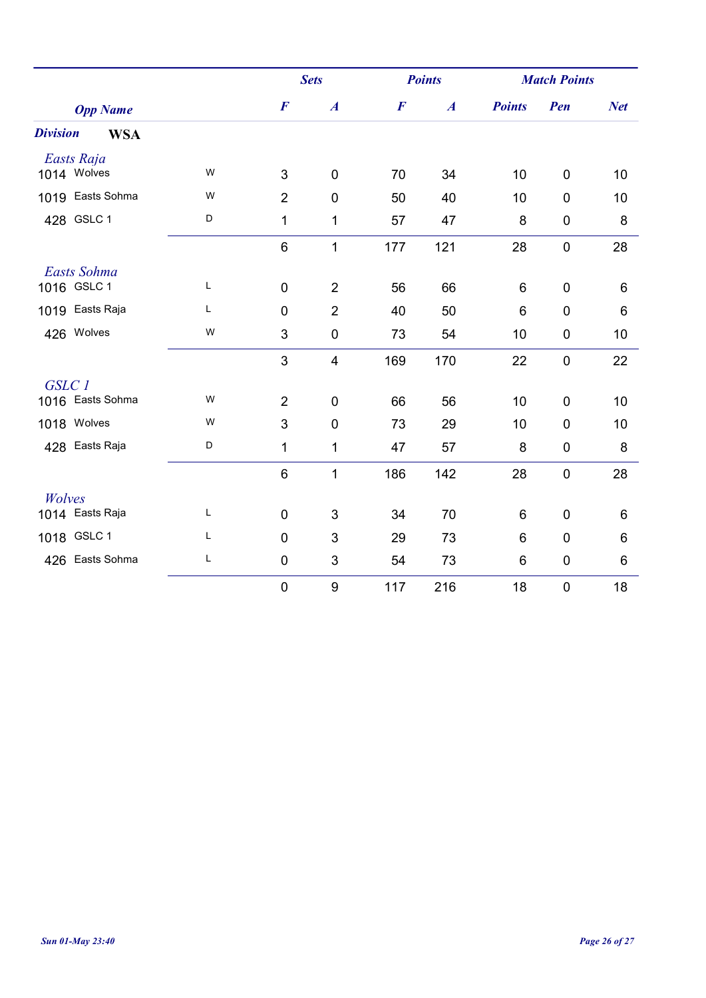|                               |              | <b>Sets</b>      |                         | <b>Points</b>    |                  | <b>Match Points</b> |                  |            |
|-------------------------------|--------------|------------------|-------------------------|------------------|------------------|---------------------|------------------|------------|
| <b>Opp Name</b>               |              | $\boldsymbol{F}$ | $\boldsymbol{A}$        | $\boldsymbol{F}$ | $\boldsymbol{A}$ | <b>Points</b>       | Pen              | <b>Net</b> |
| <b>Division</b><br><b>WSA</b> |              |                  |                         |                  |                  |                     |                  |            |
| Easts Raja                    |              |                  |                         |                  |                  |                     |                  |            |
| 1014 Wolves                   | W            | 3                | $\mathbf 0$             | 70               | 34               | 10                  | $\mathbf 0$      | 10         |
| 1019 Easts Sohma              | W            | $\overline{2}$   | $\mathbf 0$             | 50               | 40               | 10                  | $\mathbf 0$      | 10         |
| 428 GSLC 1                    | D            | 1                | 1                       | 57               | 47               | 8                   | $\boldsymbol{0}$ | 8          |
|                               |              | 6                | $\mathbf{1}$            | 177              | 121              | 28                  | $\boldsymbol{0}$ | 28         |
| Easts Sohma                   |              |                  |                         |                  |                  |                     |                  |            |
| 1016 GSLC 1                   | $\mathsf{L}$ | $\mathbf 0$      | $\overline{2}$          | 56               | 66               | 6                   | $\overline{0}$   | 6          |
| 1019 Easts Raja               | L            | $\mathbf 0$      | $\overline{2}$          | 40               | 50               | 6                   | $\mathbf 0$      | 6          |
| 426 Wolves                    | W            | 3                | $\pmb{0}$               | 73               | 54               | 10                  | $\boldsymbol{0}$ | 10         |
|                               |              | 3                | $\overline{\mathbf{4}}$ | 169              | 170              | 22                  | $\boldsymbol{0}$ | 22         |
| GSLC 1                        |              |                  |                         |                  |                  |                     |                  |            |
| 1016 Easts Sohma              | W            | $\overline{2}$   | $\mathbf 0$             | 66               | 56               | 10                  | $\mathbf 0$      | 10         |
| 1018 Wolves                   | W            | 3                | $\overline{0}$          | 73               | 29               | 10                  | $\mathbf 0$      | 10         |
| 428 Easts Raja                | D            | 1                | 1                       | 47               | 57               | 8                   | $\boldsymbol{0}$ | 8          |
|                               |              | 6                | $\mathbf{1}$            | 186              | 142              | 28                  | $\boldsymbol{0}$ | 28         |
| Wolves                        |              |                  |                         |                  |                  |                     |                  |            |
| 1014 Easts Raja               | Г            | $\mathbf 0$      | 3                       | 34               | 70               | 6                   | $\overline{0}$   | 6          |
| 1018 GSLC 1                   | L            | $\mathbf 0$      | $\mathfrak{S}$          | 29               | 73               | 6                   | $\mathbf 0$      | 6          |
| 426 Easts Sohma               | L            | $\pmb{0}$        | 3                       | 54               | 73               | 6                   | $\boldsymbol{0}$ | 6          |
|                               |              | $\pmb{0}$        | 9                       | 117              | 216              | 18                  | $\mathbf 0$      | 18         |